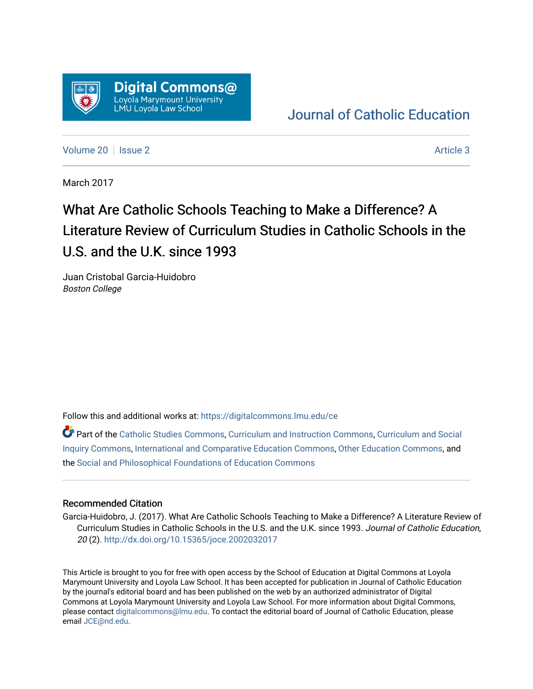

# [Journal of Catholic Education](https://digitalcommons.lmu.edu/ce)

[Volume 20](https://digitalcommons.lmu.edu/ce/vol20) | [Issue 2](https://digitalcommons.lmu.edu/ce/vol20/iss2) Article 3

March 2017

# What Are Catholic Schools Teaching to Make a Difference? A Literature Review of Curriculum Studies in Catholic Schools in the U.S. and the U.K. since 1993

Juan Cristobal Garcia-Huidobro Boston College

Follow this and additional works at: [https://digitalcommons.lmu.edu/ce](https://digitalcommons.lmu.edu/ce?utm_source=digitalcommons.lmu.edu%2Fce%2Fvol20%2Fiss2%2F3&utm_medium=PDF&utm_campaign=PDFCoverPages)

Part of the [Catholic Studies Commons](https://network.bepress.com/hgg/discipline/1294?utm_source=digitalcommons.lmu.edu%2Fce%2Fvol20%2Fiss2%2F3&utm_medium=PDF&utm_campaign=PDFCoverPages), [Curriculum and Instruction Commons](https://network.bepress.com/hgg/discipline/786?utm_source=digitalcommons.lmu.edu%2Fce%2Fvol20%2Fiss2%2F3&utm_medium=PDF&utm_campaign=PDFCoverPages), [Curriculum and Social](https://network.bepress.com/hgg/discipline/1038?utm_source=digitalcommons.lmu.edu%2Fce%2Fvol20%2Fiss2%2F3&utm_medium=PDF&utm_campaign=PDFCoverPages)  [Inquiry Commons,](https://network.bepress.com/hgg/discipline/1038?utm_source=digitalcommons.lmu.edu%2Fce%2Fvol20%2Fiss2%2F3&utm_medium=PDF&utm_campaign=PDFCoverPages) [International and Comparative Education Commons](https://network.bepress.com/hgg/discipline/797?utm_source=digitalcommons.lmu.edu%2Fce%2Fvol20%2Fiss2%2F3&utm_medium=PDF&utm_campaign=PDFCoverPages), [Other Education Commons,](https://network.bepress.com/hgg/discipline/811?utm_source=digitalcommons.lmu.edu%2Fce%2Fvol20%2Fiss2%2F3&utm_medium=PDF&utm_campaign=PDFCoverPages) and the [Social and Philosophical Foundations of Education Commons](https://network.bepress.com/hgg/discipline/799?utm_source=digitalcommons.lmu.edu%2Fce%2Fvol20%2Fiss2%2F3&utm_medium=PDF&utm_campaign=PDFCoverPages) 

## Recommended Citation

Garcia-Huidobro, J. (2017). What Are Catholic Schools Teaching to Make a Difference? A Literature Review of Curriculum Studies in Catholic Schools in the U.S. and the U.K. since 1993. Journal of Catholic Education, 20 (2). <http://dx.doi.org/10.15365/joce.2002032017>

This Article is brought to you for free with open access by the School of Education at Digital Commons at Loyola Marymount University and Loyola Law School. It has been accepted for publication in Journal of Catholic Education by the journal's editorial board and has been published on the web by an authorized administrator of Digital Commons at Loyola Marymount University and Loyola Law School. For more information about Digital Commons, please contact [digitalcommons@lmu.edu](mailto:digitalcommons@lmu.edu). To contact the editorial board of Journal of Catholic Education, please email [JCE@nd.edu](mailto:JCE@nd.edu).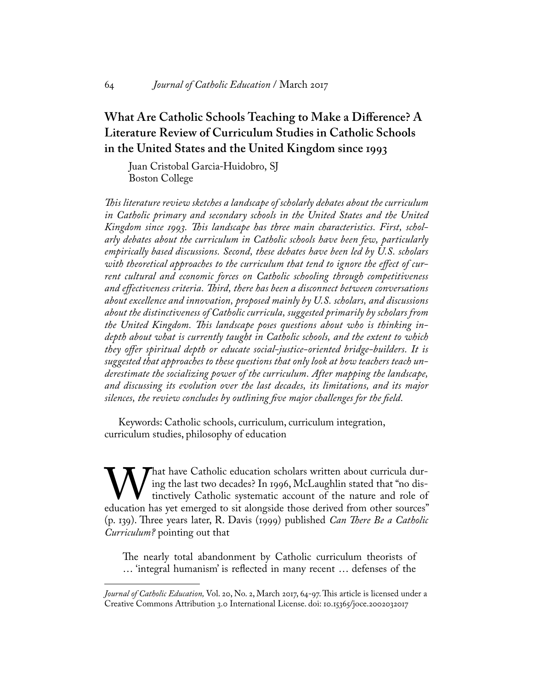# **What Are Catholic Schools Teaching to Make a Difference? A Literature Review of Curriculum Studies in Catholic Schools in the United States and the United Kingdom since 1993**

Juan Cristobal Garcia-Huidobro, SJ Boston College

*This literature review sketches a landscape of scholarly debates about the curriculum*  in Catholic primary and secondary schools in the United States and the United *Kingdom since 1993. This landscape has three main characteristics. First, scholarly debates about the curriculum in Catholic schools have been few, particularly empirically based discussions. Second, these debates have been led by U.S. scholars with theoretical approaches to the curriculum that tend to ignore the effect of current cultural and economic forces on Catholic schooling through competitiveness and effectiveness criteria. Third, there has been a disconnect between conversations about excellence and innovation, proposed mainly by U.S. scholars, and discussions about the distinctiveness of Catholic curricula, suggested primarily by scholars from the United Kingdom. This landscape poses questions about who is thinking indepth about what is currently taught in Catholic schools, and the extent to which they offer spiritual depth or educate social-justice-oriented bridge-builders. It is suggested that approaches to these questions that only look at how teachers teach underestimate the socializing power of the curriculum. After mapping the landscape, and discussing its evolution over the last decades, its limitations, and its major silences, the review concludes by outlining five major challenges for the field.*

Keywords: Catholic schools, curriculum, curriculum integration, curriculum studies, philosophy of education

What have Catholic education scholars written about curricula during the last two decades? In 1996, McLaughlin stated that "no dis-<br>tinctively Catholic systematic account of the nature and role of<br>education has yet emerged ing the last two decades? In 1996, McLaughlin stated that "no distinctively Catholic systematic account of the nature and role of education has yet emerged to sit alongside those derived from other sources" (p. 139). Three years later, R. Davis (1999) published *Can There Be a Catholic Curriculum?* pointing out that

The nearly total abandonment by Catholic curriculum theorists of … 'integral humanism' is reflected in many recent … defenses of the

*Journal of Catholic Education,* Vol. 20, No. 2, March 2017, 64-97. This article is licensed under a Creative Commons Attribution 3.0 International License. doi: 10.15365/joce.2002032017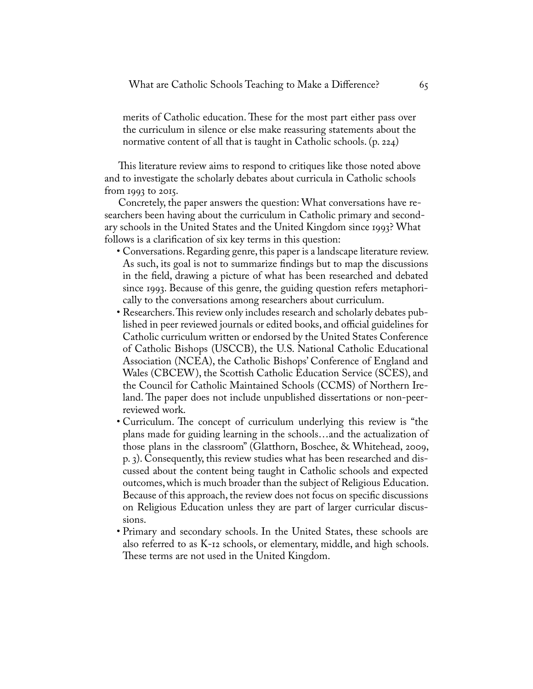merits of Catholic education. These for the most part either pass over the curriculum in silence or else make reassuring statements about the normative content of all that is taught in Catholic schools. (p. 224)

This literature review aims to respond to critiques like those noted above and to investigate the scholarly debates about curricula in Catholic schools from 1993 to 2015.

Concretely, the paper answers the question: What conversations have researchers been having about the curriculum in Catholic primary and secondary schools in the United States and the United Kingdom since 1993? What follows is a clarification of six key terms in this question:

- Conversations. Regarding genre, this paper is a landscape literature review. As such, its goal is not to summarize findings but to map the discussions in the field, drawing a picture of what has been researched and debated since 1993. Because of this genre, the guiding question refers metaphorically to the conversations among researchers about curriculum.
- Researchers. This review only includes research and scholarly debates published in peer reviewed journals or edited books, and official guidelines for Catholic curriculum written or endorsed by the United States Conference of Catholic Bishops (USCCB), the U.S. National Catholic Educational Association (NCEA), the Catholic Bishops' Conference of England and Wales (CBCEW), the Scottish Catholic Education Service (SCES), and the Council for Catholic Maintained Schools (CCMS) of Northern Ireland. The paper does not include unpublished dissertations or non-peerreviewed work.
- Curriculum. The concept of curriculum underlying this review is "the plans made for guiding learning in the schools…and the actualization of those plans in the classroom" (Glatthorn, Boschee, & Whitehead, 2009, p. 3). Consequently, this review studies what has been researched and discussed about the content being taught in Catholic schools and expected outcomes, which is much broader than the subject of Religious Education. Because of this approach, the review does not focus on specific discussions on Religious Education unless they are part of larger curricular discussions.
- Primary and secondary schools. In the United States, these schools are also referred to as K-12 schools, or elementary, middle, and high schools. These terms are not used in the United Kingdom.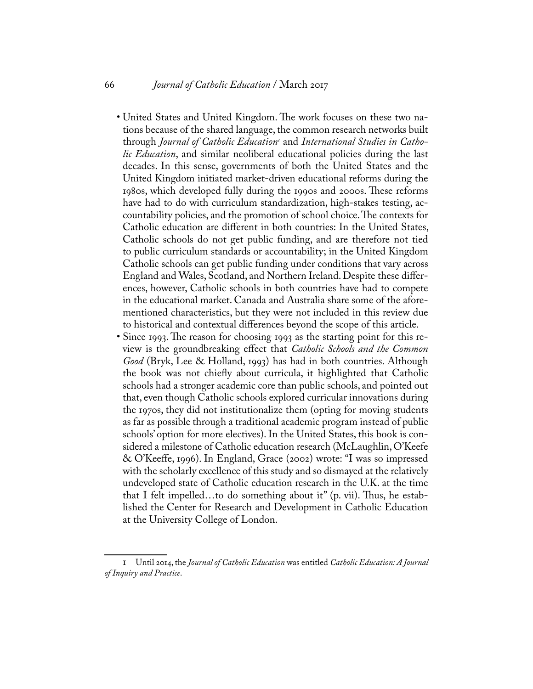- United States and United Kingdom. The work focuses on these two nations because of the shared language, the common research networks built through *Journal of Catholic Education1* and *International Studies in Catholic Education*, and similar neoliberal educational policies during the last decades. In this sense, governments of both the United States and the United Kingdom initiated market-driven educational reforms during the 1980s, which developed fully during the 1990s and 2000s. These reforms have had to do with curriculum standardization, high-stakes testing, accountability policies, and the promotion of school choice. The contexts for Catholic education are different in both countries: In the United States, Catholic schools do not get public funding, and are therefore not tied to public curriculum standards or accountability; in the United Kingdom Catholic schools can get public funding under conditions that vary across England and Wales, Scotland, and Northern Ireland. Despite these differences, however, Catholic schools in both countries have had to compete in the educational market. Canada and Australia share some of the aforementioned characteristics, but they were not included in this review due to historical and contextual differences beyond the scope of this article.
- Since 1993. The reason for choosing 1993 as the starting point for this review is the groundbreaking effect that *Catholic Schools and the Common Good* (Bryk, Lee & Holland, 1993) has had in both countries. Although the book was not chiefly about curricula, it highlighted that Catholic schools had a stronger academic core than public schools, and pointed out that, even though Catholic schools explored curricular innovations during the 1970s, they did not institutionalize them (opting for moving students as far as possible through a traditional academic program instead of public schools' option for more electives). In the United States, this book is considered a milestone of Catholic education research (McLaughlin, O'Keefe & O'Keeffe, 1996). In England, Grace (2002) wrote: "I was so impressed with the scholarly excellence of this study and so dismayed at the relatively undeveloped state of Catholic education research in the U.K. at the time that I felt impelled…to do something about it" (p. vii). Thus, he established the Center for Research and Development in Catholic Education at the University College of London.

<sup>1</sup> Until 2014, the *Journal of Catholic Education* was entitled *Catholic Education: A Journal of Inquiry and Practice*.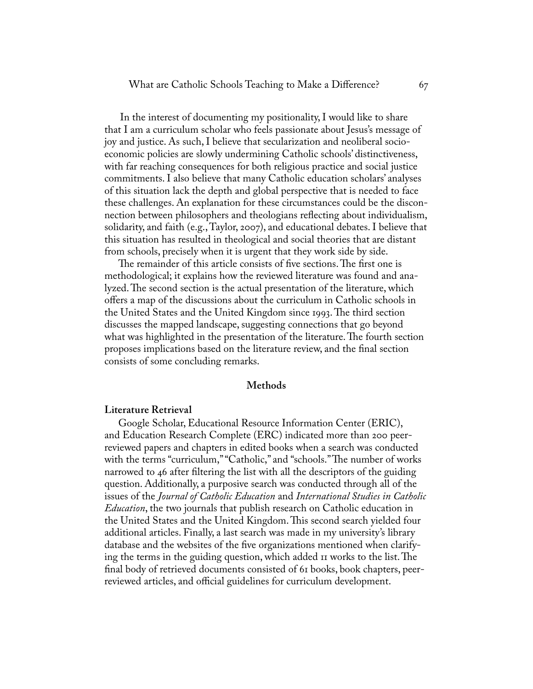In the interest of documenting my positionality, I would like to share that I am a curriculum scholar who feels passionate about Jesus's message of joy and justice. As such, I believe that secularization and neoliberal socioeconomic policies are slowly undermining Catholic schools' distinctiveness, with far reaching consequences for both religious practice and social justice commitments. I also believe that many Catholic education scholars' analyses of this situation lack the depth and global perspective that is needed to face these challenges. An explanation for these circumstances could be the disconnection between philosophers and theologians reflecting about individualism, solidarity, and faith (e.g., Taylor, 2007), and educational debates. I believe that this situation has resulted in theological and social theories that are distant from schools, precisely when it is urgent that they work side by side.

The remainder of this article consists of five sections. The first one is methodological; it explains how the reviewed literature was found and analyzed. The second section is the actual presentation of the literature, which offers a map of the discussions about the curriculum in Catholic schools in the United States and the United Kingdom since 1993. The third section discusses the mapped landscape, suggesting connections that go beyond what was highlighted in the presentation of the literature. The fourth section proposes implications based on the literature review, and the final section consists of some concluding remarks.

#### **Methods**

#### **Literature Retrieval**

Google Scholar, Educational Resource Information Center (ERIC), and Education Research Complete (ERC) indicated more than 200 peerreviewed papers and chapters in edited books when a search was conducted with the terms "curriculum," "Catholic," and "schools." The number of works narrowed to 46 after filtering the list with all the descriptors of the guiding question. Additionally, a purposive search was conducted through all of the issues of the *Journal of Catholic Education* and *International Studies in Catholic Education*, the two journals that publish research on Catholic education in the United States and the United Kingdom. This second search yielded four additional articles. Finally, a last search was made in my university's library database and the websites of the five organizations mentioned when clarifying the terms in the guiding question, which added 11 works to the list. The final body of retrieved documents consisted of 61 books, book chapters, peerreviewed articles, and official guidelines for curriculum development.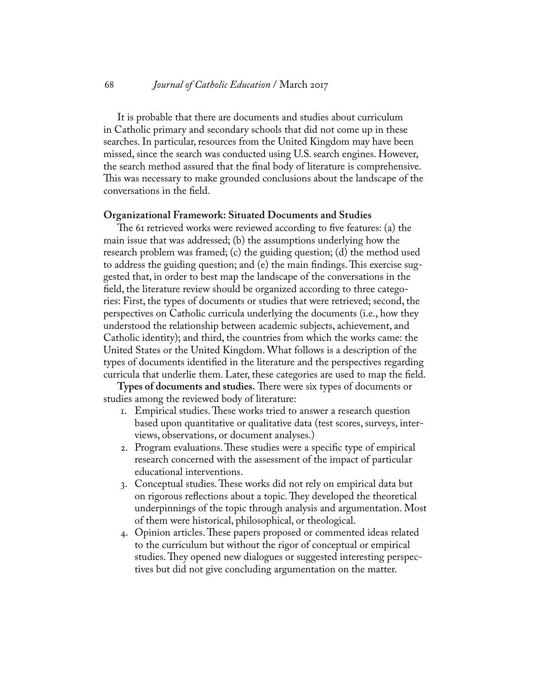It is probable that there are documents and studies about curriculum in Catholic primary and secondary schools that did not come up in these searches. In particular, resources from the United Kingdom may have been missed, since the search was conducted using U.S. search engines. However, the search method assured that the final body of literature is comprehensive. This was necessary to make grounded conclusions about the landscape of the conversations in the field.

#### **Organizational Framework: Situated Documents and Studies**

The 61 retrieved works were reviewed according to five features: (a) the main issue that was addressed; (b) the assumptions underlying how the research problem was framed; (c) the guiding question; (d) the method used to address the guiding question; and (e) the main findings. This exercise suggested that, in order to best map the landscape of the conversations in the field, the literature review should be organized according to three categories: First, the types of documents or studies that were retrieved; second, the perspectives on Catholic curricula underlying the documents (i.e., how they understood the relationship between academic subjects, achievement, and Catholic identity); and third, the countries from which the works came: the United States or the United Kingdom. What follows is a description of the types of documents identified in the literature and the perspectives regarding curricula that underlie them. Later, these categories are used to map the field.

**Types of documents and studies.** There were six types of documents or studies among the reviewed body of literature:

- 1. Empirical studies. These works tried to answer a research question based upon quantitative or qualitative data (test scores, surveys, interviews, observations, or document analyses.)
- 2. Program evaluations. These studies were a specific type of empirical research concerned with the assessment of the impact of particular educational interventions.
- 3. Conceptual studies. These works did not rely on empirical data but on rigorous reflections about a topic. They developed the theoretical underpinnings of the topic through analysis and argumentation. Most of them were historical, philosophical, or theological.
- 4. Opinion articles. These papers proposed or commented ideas related to the curriculum but without the rigor of conceptual or empirical studies. They opened new dialogues or suggested interesting perspectives but did not give concluding argumentation on the matter.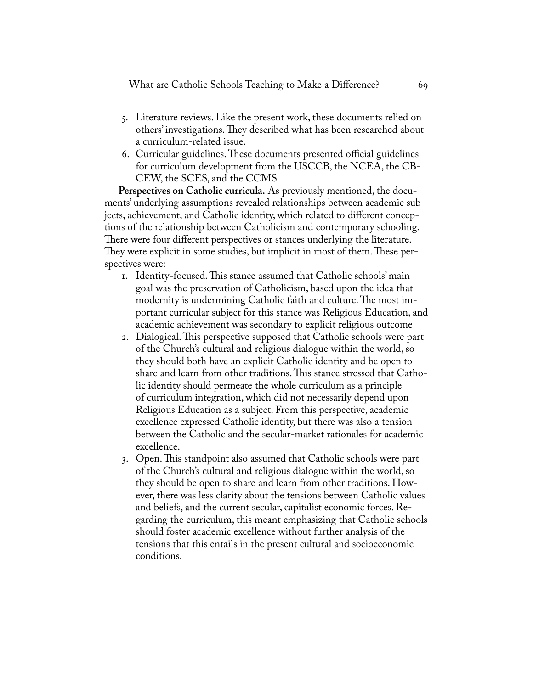What are Catholic Schools Teaching to Make a Difference? 69

- 5. Literature reviews. Like the present work, these documents relied on others' investigations. They described what has been researched about a curriculum-related issue.
- 6. Curricular guidelines. These documents presented official guidelines for curriculum development from the USCCB, the NCEA, the CB-CEW, the SCES, and the CCMS.

**Perspectives on Catholic curricula.** As previously mentioned, the documents' underlying assumptions revealed relationships between academic subjects, achievement, and Catholic identity, which related to different conceptions of the relationship between Catholicism and contemporary schooling. There were four different perspectives or stances underlying the literature. They were explicit in some studies, but implicit in most of them. These perspectives were:

- 1. Identity-focused. This stance assumed that Catholic schools' main goal was the preservation of Catholicism, based upon the idea that modernity is undermining Catholic faith and culture. The most important curricular subject for this stance was Religious Education, and academic achievement was secondary to explicit religious outcome
- 2. Dialogical. This perspective supposed that Catholic schools were part of the Church's cultural and religious dialogue within the world, so they should both have an explicit Catholic identity and be open to share and learn from other traditions. This stance stressed that Catholic identity should permeate the whole curriculum as a principle of curriculum integration, which did not necessarily depend upon Religious Education as a subject. From this perspective, academic excellence expressed Catholic identity, but there was also a tension between the Catholic and the secular-market rationales for academic excellence.
- 3. Open. This standpoint also assumed that Catholic schools were part of the Church's cultural and religious dialogue within the world, so they should be open to share and learn from other traditions. However, there was less clarity about the tensions between Catholic values and beliefs, and the current secular, capitalist economic forces. Regarding the curriculum, this meant emphasizing that Catholic schools should foster academic excellence without further analysis of the tensions that this entails in the present cultural and socioeconomic conditions.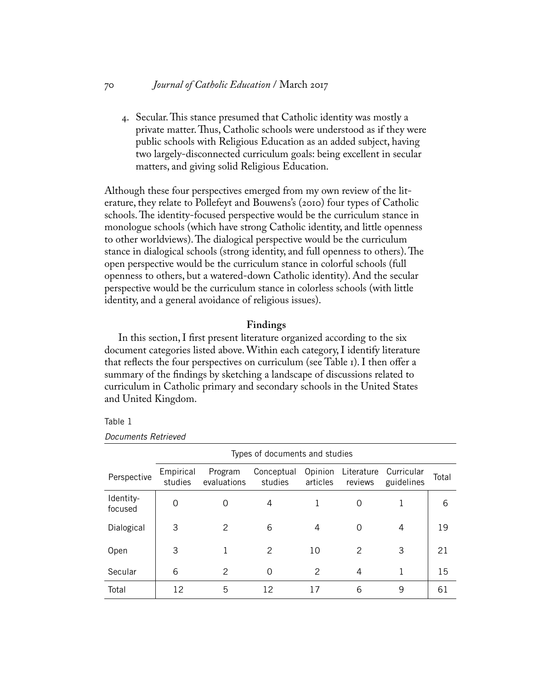## 70 *Journal of Catholic Education* / March 2017

4. Secular. This stance presumed that Catholic identity was mostly a private matter. Thus, Catholic schools were understood as if they were public schools with Religious Education as an added subject, having two largely-disconnected curriculum goals: being excellent in secular matters, and giving solid Religious Education.

Although these four perspectives emerged from my own review of the literature, they relate to Pollefeyt and Bouwens's (2010) four types of Catholic schools. The identity-focused perspective would be the curriculum stance in monologue schools (which have strong Catholic identity, and little openness to other worldviews). The dialogical perspective would be the curriculum stance in dialogical schools (strong identity, and full openness to others). The open perspective would be the curriculum stance in colorful schools (full openness to others, but a watered-down Catholic identity). And the secular perspective would be the curriculum stance in colorless schools (with little identity, and a general avoidance of religious issues).

## **Findings**

In this section, I first present literature organized according to the six document categories listed above. Within each category, I identify literature that reflects the four perspectives on curriculum (see Table 1). I then offer a summary of the findings by sketching a landscape of discussions related to curriculum in Catholic primary and secondary schools in the United States and United Kingdom.

#### Table 1

|                      | Types of documents and studies |                        |                       |                     |                       |                          |       |
|----------------------|--------------------------------|------------------------|-----------------------|---------------------|-----------------------|--------------------------|-------|
| Perspective          | Empirical<br>studies           | Program<br>evaluations | Conceptual<br>studies | Opinion<br>articles | Literature<br>reviews | Curricular<br>guidelines | Total |
| Identity-<br>focused | 0                              | ∩                      | 4                     |                     | Ω                     |                          | 6     |
| Dialogical           | 3                              | $\mathcal{P}$          | 6                     | 4                   | Ω                     | 4                        | 19    |
| Open                 | 3                              |                        | $\mathcal{P}$         | 10                  | 2                     | 3                        | 21    |
| Secular              | 6                              | $\mathcal{P}$          | $\Omega$              | $\mathcal{P}$       | 4                     |                          | 15    |
| Total                | 12                             | 5                      | 12                    | 17                  | 6                     | 9                        | 61    |

*Documents Retrieved*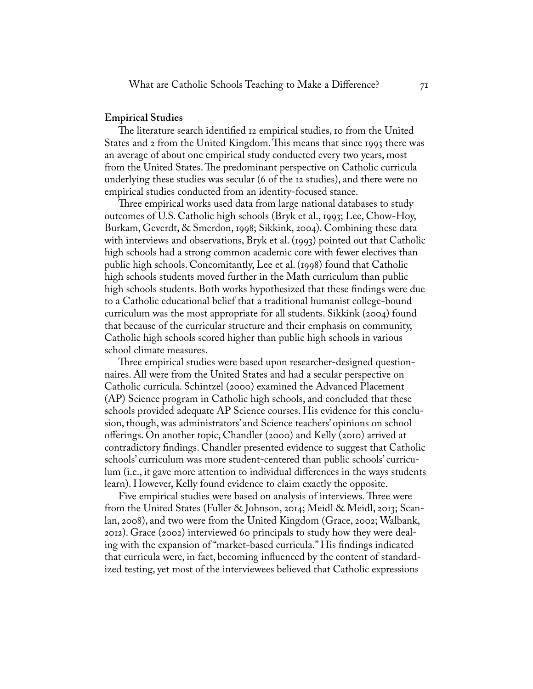#### **Empirical Studies**

The literature search identified 12 empirical studies, 10 from the United States and 2 from the United Kingdom. This means that since 1993 there was an average of about one empirical study conducted every two years, most from the United States. The predominant perspective on Catholic curricula underlying these studies was secular (6 of the 12 studies), and there were no empirical studies conducted from an identity-focused stance.

Three empirical works used data from large national databases to study outcomes of U.S. Catholic high schools (Bryk et al., 1993; Lee, Chow-Hoy, Burkam, Geverdt, & Smerdon, 1998; Sikkink, 2004). Combining these data with interviews and observations, Bryk et al. (1993) pointed out that Catholic high schools had a strong common academic core with fewer electives than public high schools. Concomitantly, Lee et al. (1998) found that Catholic high schools students moved further in the Math curriculum than public high schools students. Both works hypothesized that these findings were due to a Catholic educational belief that a traditional humanist college-bound curriculum was the most appropriate for all students. Sikkink (2004) found that because of the curricular structure and their emphasis on community, Catholic high schools scored higher than public high schools in various school climate measures.

Three empirical studies were based upon researcher-designed questionnaires. All were from the United States and had a secular perspective on Catholic curricula. Schintzel (2000) examined the Advanced Placement (AP) Science program in Catholic high schools, and concluded that these schools provided adequate AP Science courses. His evidence for this conclusion, though, was administrators' and Science teachers' opinions on school offerings. On another topic, Chandler (2000) and Kelly (2010) arrived at contradictory findings. Chandler presented evidence to suggest that Catholic schools' curriculum was more student-centered than public schools' curriculum (i.e., it gave more attention to individual differences in the ways students learn). However, Kelly found evidence to claim exactly the opposite.

Five empirical studies were based on analysis of interviews. Three were from the United States (Fuller & Johnson, 2014; Meidl & Meidl, 2013; Scanlan, 2008), and two were from the United Kingdom (Grace, 2002; Walbank, 2012). Grace (2002) interviewed 60 principals to study how they were dealing with the expansion of "market-based curricula." His findings indicated that curricula were, in fact, becoming influenced by the content of standardized testing, yet most of the interviewees believed that Catholic expressions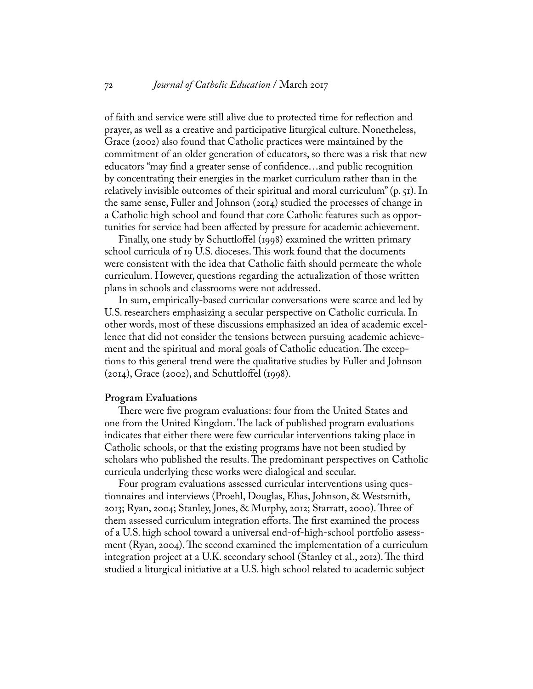of faith and service were still alive due to protected time for reflection and prayer, as well as a creative and participative liturgical culture. Nonetheless, Grace (2002) also found that Catholic practices were maintained by the commitment of an older generation of educators, so there was a risk that new educators "may find a greater sense of confidence…and public recognition by concentrating their energies in the market curriculum rather than in the relatively invisible outcomes of their spiritual and moral curriculum" (p. 51). In the same sense, Fuller and Johnson (2014) studied the processes of change in a Catholic high school and found that core Catholic features such as opportunities for service had been affected by pressure for academic achievement.

Finally, one study by Schuttloffel (1998) examined the written primary school curricula of 19 U.S. dioceses. This work found that the documents were consistent with the idea that Catholic faith should permeate the whole curriculum. However, questions regarding the actualization of those written plans in schools and classrooms were not addressed.

In sum, empirically-based curricular conversations were scarce and led by U.S. researchers emphasizing a secular perspective on Catholic curricula. In other words, most of these discussions emphasized an idea of academic excellence that did not consider the tensions between pursuing academic achievement and the spiritual and moral goals of Catholic education. The exceptions to this general trend were the qualitative studies by Fuller and Johnson (2014), Grace (2002), and Schuttloffel (1998).

#### **Program Evaluations**

There were five program evaluations: four from the United States and one from the United Kingdom. The lack of published program evaluations indicates that either there were few curricular interventions taking place in Catholic schools, or that the existing programs have not been studied by scholars who published the results. The predominant perspectives on Catholic curricula underlying these works were dialogical and secular.

Four program evaluations assessed curricular interventions using questionnaires and interviews (Proehl, Douglas, Elias, Johnson, & Westsmith, 2013; Ryan, 2004; Stanley, Jones, & Murphy, 2012; Starratt, 2000). Three of them assessed curriculum integration efforts. The first examined the process of a U.S. high school toward a universal end-of-high-school portfolio assessment (Ryan, 2004). The second examined the implementation of a curriculum integration project at a U.K. secondary school (Stanley et al., 2012). The third studied a liturgical initiative at a U.S. high school related to academic subject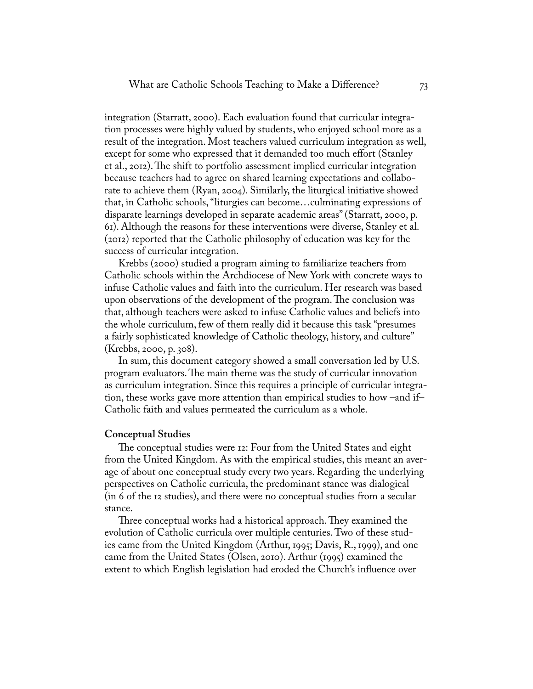integration (Starratt, 2000). Each evaluation found that curricular integration processes were highly valued by students, who enjoyed school more as a result of the integration. Most teachers valued curriculum integration as well, except for some who expressed that it demanded too much effort (Stanley et al., 2012). The shift to portfolio assessment implied curricular integration because teachers had to agree on shared learning expectations and collaborate to achieve them (Ryan, 2004). Similarly, the liturgical initiative showed that, in Catholic schools, "liturgies can become…culminating expressions of disparate learnings developed in separate academic areas" (Starratt, 2000, p. 61). Although the reasons for these interventions were diverse, Stanley et al. (2012) reported that the Catholic philosophy of education was key for the success of curricular integration.

Krebbs (2000) studied a program aiming to familiarize teachers from Catholic schools within the Archdiocese of New York with concrete ways to infuse Catholic values and faith into the curriculum. Her research was based upon observations of the development of the program. The conclusion was that, although teachers were asked to infuse Catholic values and beliefs into the whole curriculum, few of them really did it because this task "presumes a fairly sophisticated knowledge of Catholic theology, history, and culture" (Krebbs, 2000, p. 308).

In sum, this document category showed a small conversation led by U.S. program evaluators. The main theme was the study of curricular innovation as curriculum integration. Since this requires a principle of curricular integration, these works gave more attention than empirical studies to how –and if– Catholic faith and values permeated the curriculum as a whole.

#### **Conceptual Studies**

The conceptual studies were 12: Four from the United States and eight from the United Kingdom. As with the empirical studies, this meant an average of about one conceptual study every two years. Regarding the underlying perspectives on Catholic curricula, the predominant stance was dialogical (in 6 of the 12 studies), and there were no conceptual studies from a secular stance.

Three conceptual works had a historical approach. They examined the evolution of Catholic curricula over multiple centuries. Two of these studies came from the United Kingdom (Arthur, 1995; Davis, R., 1999), and one came from the United States (Olsen, 2010). Arthur (1995) examined the extent to which English legislation had eroded the Church's influence over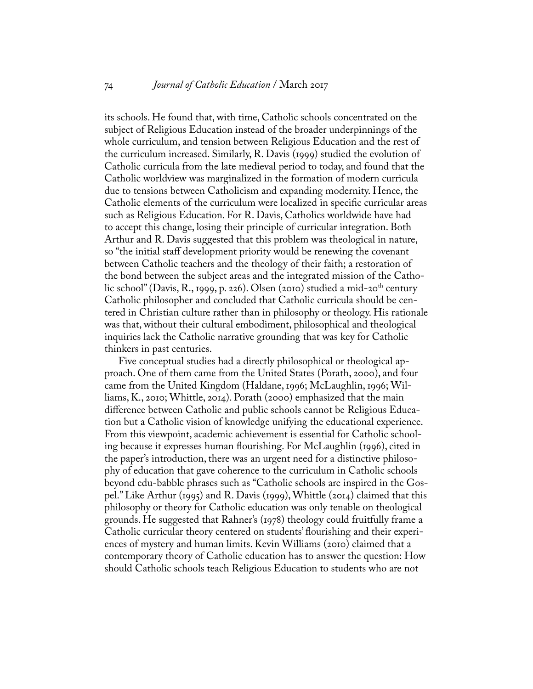its schools. He found that, with time, Catholic schools concentrated on the subject of Religious Education instead of the broader underpinnings of the whole curriculum, and tension between Religious Education and the rest of the curriculum increased. Similarly, R. Davis (1999) studied the evolution of Catholic curricula from the late medieval period to today, and found that the Catholic worldview was marginalized in the formation of modern curricula due to tensions between Catholicism and expanding modernity. Hence, the Catholic elements of the curriculum were localized in specific curricular areas such as Religious Education. For R. Davis, Catholics worldwide have had to accept this change, losing their principle of curricular integration. Both Arthur and R. Davis suggested that this problem was theological in nature, so "the initial staff development priority would be renewing the covenant between Catholic teachers and the theology of their faith; a restoration of the bond between the subject areas and the integrated mission of the Catholic school" (Davis, R., 1999, p. 226). Olsen (2010) studied a mid-20<sup>th</sup> century Catholic philosopher and concluded that Catholic curricula should be centered in Christian culture rather than in philosophy or theology. His rationale was that, without their cultural embodiment, philosophical and theological inquiries lack the Catholic narrative grounding that was key for Catholic thinkers in past centuries.

Five conceptual studies had a directly philosophical or theological approach. One of them came from the United States (Porath, 2000), and four came from the United Kingdom (Haldane, 1996; McLaughlin, 1996; Williams, K., 2010; Whittle, 2014). Porath (2000) emphasized that the main difference between Catholic and public schools cannot be Religious Education but a Catholic vision of knowledge unifying the educational experience. From this viewpoint, academic achievement is essential for Catholic schooling because it expresses human flourishing. For McLaughlin (1996), cited in the paper's introduction, there was an urgent need for a distinctive philosophy of education that gave coherence to the curriculum in Catholic schools beyond edu-babble phrases such as "Catholic schools are inspired in the Gospel." Like Arthur (1995) and R. Davis (1999), Whittle (2014) claimed that this philosophy or theory for Catholic education was only tenable on theological grounds. He suggested that Rahner's (1978) theology could fruitfully frame a Catholic curricular theory centered on students' flourishing and their experiences of mystery and human limits. Kevin Williams (2010) claimed that a contemporary theory of Catholic education has to answer the question: How should Catholic schools teach Religious Education to students who are not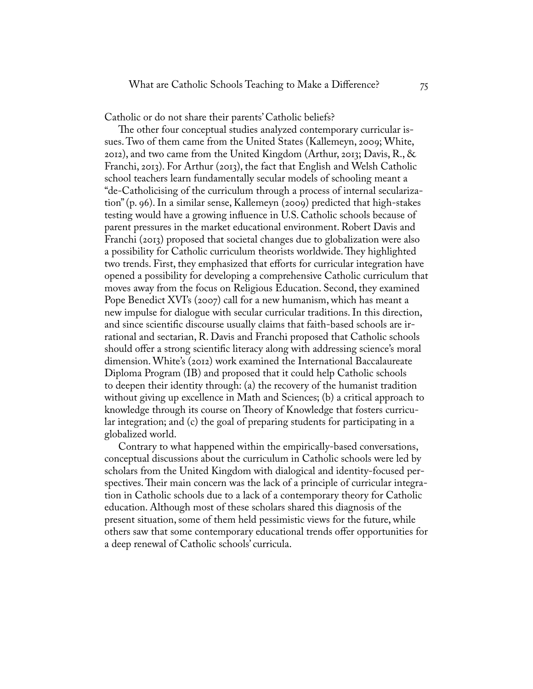Catholic or do not share their parents' Catholic beliefs?

The other four conceptual studies analyzed contemporary curricular issues. Two of them came from the United States (Kallemeyn, 2009; White, 2012), and two came from the United Kingdom (Arthur, 2013; Davis, R., & Franchi, 2013). For Arthur (2013), the fact that English and Welsh Catholic school teachers learn fundamentally secular models of schooling meant a "de-Catholicising of the curriculum through a process of internal secularization" (p. 96). In a similar sense, Kallemeyn (2009) predicted that high-stakes testing would have a growing influence in U.S. Catholic schools because of parent pressures in the market educational environment. Robert Davis and Franchi (2013) proposed that societal changes due to globalization were also a possibility for Catholic curriculum theorists worldwide. They highlighted two trends. First, they emphasized that efforts for curricular integration have opened a possibility for developing a comprehensive Catholic curriculum that moves away from the focus on Religious Education. Second, they examined Pope Benedict XVI's (2007) call for a new humanism, which has meant a new impulse for dialogue with secular curricular traditions. In this direction, and since scientific discourse usually claims that faith-based schools are irrational and sectarian, R. Davis and Franchi proposed that Catholic schools should offer a strong scientific literacy along with addressing science's moral dimension. White's (2012) work examined the International Baccalaureate Diploma Program (IB) and proposed that it could help Catholic schools to deepen their identity through: (a) the recovery of the humanist tradition without giving up excellence in Math and Sciences; (b) a critical approach to knowledge through its course on Theory of Knowledge that fosters curricular integration; and (c) the goal of preparing students for participating in a globalized world.

Contrary to what happened within the empirically-based conversations, conceptual discussions about the curriculum in Catholic schools were led by scholars from the United Kingdom with dialogical and identity-focused perspectives. Their main concern was the lack of a principle of curricular integration in Catholic schools due to a lack of a contemporary theory for Catholic education. Although most of these scholars shared this diagnosis of the present situation, some of them held pessimistic views for the future, while others saw that some contemporary educational trends offer opportunities for a deep renewal of Catholic schools' curricula.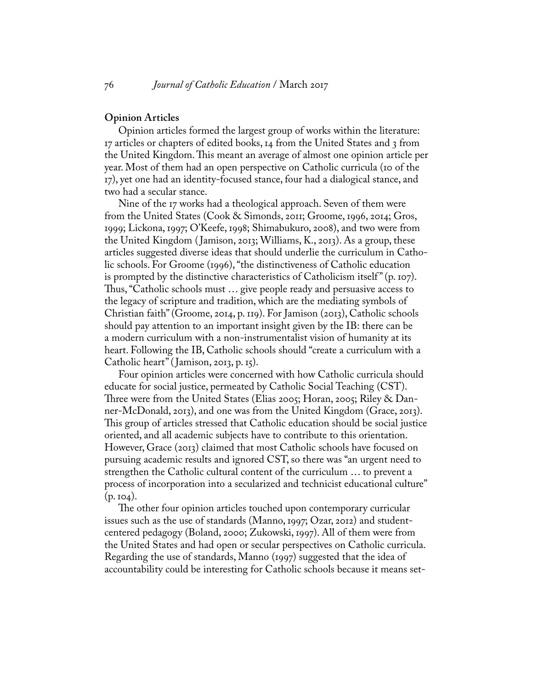#### **Opinion Articles**

Opinion articles formed the largest group of works within the literature: 17 articles or chapters of edited books, 14 from the United States and 3 from the United Kingdom. This meant an average of almost one opinion article per year. Most of them had an open perspective on Catholic curricula (10 of the 17), yet one had an identity-focused stance, four had a dialogical stance, and two had a secular stance.

Nine of the 17 works had a theological approach. Seven of them were from the United States (Cook & Simonds, 2011; Groome, 1996, 2014; Gros, 1999; Lickona, 1997; O'Keefe, 1998; Shimabukuro, 2008), and two were from the United Kingdom ( Jamison, 2013; Williams, K., 2013). As a group, these articles suggested diverse ideas that should underlie the curriculum in Catholic schools. For Groome (1996), "the distinctiveness of Catholic education is prompted by the distinctive characteristics of Catholicism itself" (p. 107). Thus, "Catholic schools must … give people ready and persuasive access to the legacy of scripture and tradition, which are the mediating symbols of Christian faith" (Groome, 2014, p. 119). For Jamison (2013), Catholic schools should pay attention to an important insight given by the IB: there can be a modern curriculum with a non-instrumentalist vision of humanity at its heart. Following the IB, Catholic schools should "create a curriculum with a Catholic heart" (Jamison, 2013, p. 15).

Four opinion articles were concerned with how Catholic curricula should educate for social justice, permeated by Catholic Social Teaching (CST). Three were from the United States (Elias 2005; Horan, 2005; Riley & Danner-McDonald, 2013), and one was from the United Kingdom (Grace, 2013). This group of articles stressed that Catholic education should be social justice oriented, and all academic subjects have to contribute to this orientation. However, Grace (2013) claimed that most Catholic schools have focused on pursuing academic results and ignored CST, so there was "an urgent need to strengthen the Catholic cultural content of the curriculum … to prevent a process of incorporation into a secularized and technicist educational culture" (p. 104).

The other four opinion articles touched upon contemporary curricular issues such as the use of standards (Manno, 1997; Ozar, 2012) and studentcentered pedagogy (Boland, 2000; Zukowski, 1997). All of them were from the United States and had open or secular perspectives on Catholic curricula. Regarding the use of standards, Manno (1997) suggested that the idea of accountability could be interesting for Catholic schools because it means set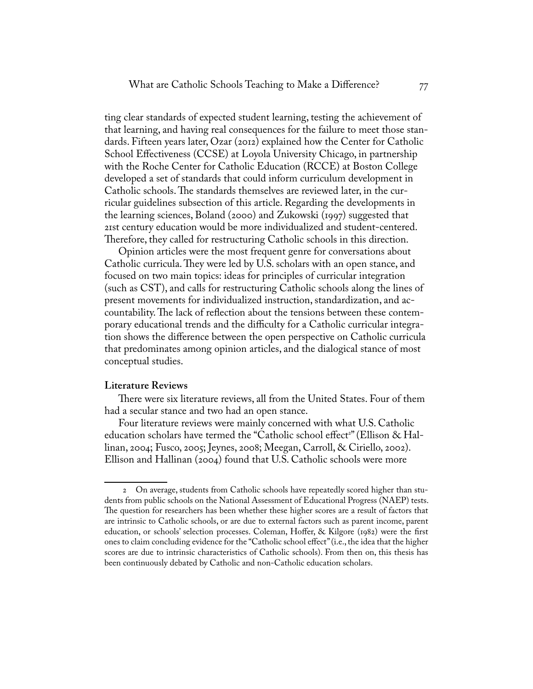What are Catholic Schools Teaching to Make a Difference? 77

ting clear standards of expected student learning, testing the achievement of that learning, and having real consequences for the failure to meet those standards. Fifteen years later, Ozar (2012) explained how the Center for Catholic School Effectiveness (CCSE) at Loyola University Chicago, in partnership with the Roche Center for Catholic Education (RCCE) at Boston College developed a set of standards that could inform curriculum development in Catholic schools. The standards themselves are reviewed later, in the curricular guidelines subsection of this article. Regarding the developments in the learning sciences, Boland (2000) and Zukowski (1997) suggested that 21st century education would be more individualized and student-centered. Therefore, they called for restructuring Catholic schools in this direction.

Opinion articles were the most frequent genre for conversations about Catholic curricula. They were led by U.S. scholars with an open stance, and focused on two main topics: ideas for principles of curricular integration (such as CST), and calls for restructuring Catholic schools along the lines of present movements for individualized instruction, standardization, and accountability. The lack of reflection about the tensions between these contemporary educational trends and the difficulty for a Catholic curricular integration shows the difference between the open perspective on Catholic curricula that predominates among opinion articles, and the dialogical stance of most conceptual studies.

#### **Literature Reviews**

There were six literature reviews, all from the United States. Four of them had a secular stance and two had an open stance.

Four literature reviews were mainly concerned with what U.S. Catholic education scholars have termed the "Catholic school effect<sup>2"</sup> (Ellison & Hallinan, 2004; Fusco, 2005; Jeynes, 2008; Meegan, Carroll, & Ciriello, 2002). Ellison and Hallinan (2004) found that U.S. Catholic schools were more

<sup>2</sup> On average, students from Catholic schools have repeatedly scored higher than students from public schools on the National Assessment of Educational Progress (NAEP) tests. The question for researchers has been whether these higher scores are a result of factors that are intrinsic to Catholic schools, or are due to external factors such as parent income, parent education, or schools' selection processes. Coleman, Hoffer, & Kilgore (1982) were the first ones to claim concluding evidence for the "Catholic school effect" (i.e., the idea that the higher scores are due to intrinsic characteristics of Catholic schools). From then on, this thesis has been continuously debated by Catholic and non-Catholic education scholars.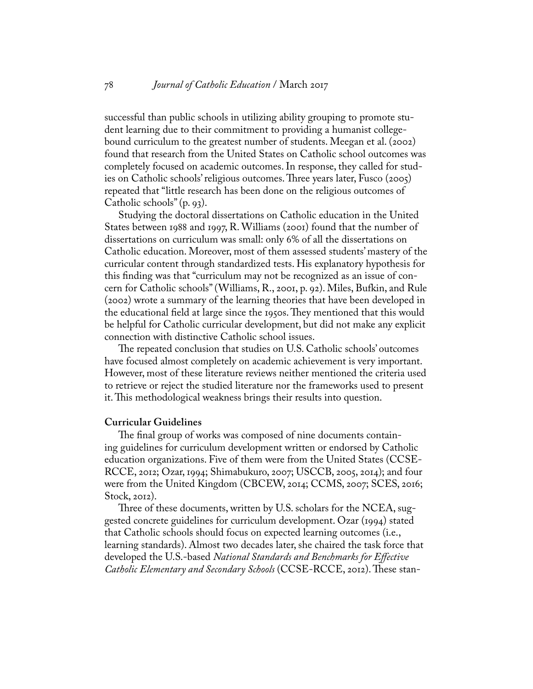successful than public schools in utilizing ability grouping to promote student learning due to their commitment to providing a humanist collegebound curriculum to the greatest number of students. Meegan et al. (2002) found that research from the United States on Catholic school outcomes was completely focused on academic outcomes. In response, they called for studies on Catholic schools' religious outcomes. Three years later, Fusco (2005) repeated that "little research has been done on the religious outcomes of Catholic schools" (p. 93).

Studying the doctoral dissertations on Catholic education in the United States between 1988 and 1997, R. Williams (2001) found that the number of dissertations on curriculum was small: only 6% of all the dissertations on Catholic education. Moreover, most of them assessed students' mastery of the curricular content through standardized tests. His explanatory hypothesis for this finding was that "curriculum may not be recognized as an issue of concern for Catholic schools" (Williams, R., 2001, p. 92). Miles, Bufkin, and Rule (2002) wrote a summary of the learning theories that have been developed in the educational field at large since the 1950s. They mentioned that this would be helpful for Catholic curricular development, but did not make any explicit connection with distinctive Catholic school issues.

The repeated conclusion that studies on U.S. Catholic schools' outcomes have focused almost completely on academic achievement is very important. However, most of these literature reviews neither mentioned the criteria used to retrieve or reject the studied literature nor the frameworks used to present it. This methodological weakness brings their results into question.

#### **Curricular Guidelines**

The final group of works was composed of nine documents containing guidelines for curriculum development written or endorsed by Catholic education organizations. Five of them were from the United States (CCSE-RCCE, 2012; Ozar, 1994; Shimabukuro, 2007; USCCB, 2005, 2014); and four were from the United Kingdom (CBCEW, 2014; CCMS, 2007; SCES, 2016; Stock, 2012).

Three of these documents, written by U.S. scholars for the NCEA, suggested concrete guidelines for curriculum development. Ozar (1994) stated that Catholic schools should focus on expected learning outcomes (i.e., learning standards). Almost two decades later, she chaired the task force that developed the U.S.-based *National Standards and Benchmarks for Effective Catholic Elementary and Secondary Schools* (CCSE-RCCE, 2012). These stan-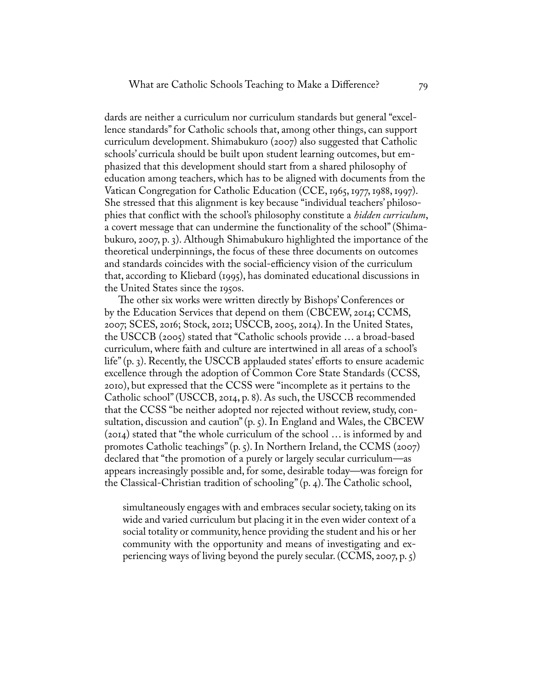What are Catholic Schools Teaching to Make a Difference?  $\frac{79}{2}$ 

dards are neither a curriculum nor curriculum standards but general "excellence standards" for Catholic schools that, among other things, can support curriculum development. Shimabukuro (2007) also suggested that Catholic schools' curricula should be built upon student learning outcomes, but emphasized that this development should start from a shared philosophy of education among teachers, which has to be aligned with documents from the Vatican Congregation for Catholic Education (CCE, 1965, 1977, 1988, 1997). She stressed that this alignment is key because "individual teachers' philosophies that conflict with the school's philosophy constitute a *hidden curriculum*, a covert message that can undermine the functionality of the school" (Shimabukuro, 2007, p. 3). Although Shimabukuro highlighted the importance of the theoretical underpinnings, the focus of these three documents on outcomes and standards coincides with the social-efficiency vision of the curriculum that, according to Kliebard (1995), has dominated educational discussions in the United States since the 1950s.

The other six works were written directly by Bishops' Conferences or by the Education Services that depend on them (CBCEW, 2014; CCMS, 2007; SCES, 2016; Stock, 2012; USCCB, 2005, 2014). In the United States, the USCCB (2005) stated that "Catholic schools provide … a broad-based curriculum, where faith and culture are intertwined in all areas of a school's life" (p. 3). Recently, the USCCB applauded states' efforts to ensure academic excellence through the adoption of Common Core State Standards (CCSS, 2010), but expressed that the CCSS were "incomplete as it pertains to the Catholic school" (USCCB, 2014, p. 8). As such, the USCCB recommended that the CCSS "be neither adopted nor rejected without review, study, consultation, discussion and caution" (p. 5). In England and Wales, the CBCEW (2014) stated that "the whole curriculum of the school … is informed by and promotes Catholic teachings" (p. 5). In Northern Ireland, the CCMS (2007) declared that "the promotion of a purely or largely secular curriculum—as appears increasingly possible and, for some, desirable today—was foreign for the Classical-Christian tradition of schooling" (p. 4). The Catholic school,

simultaneously engages with and embraces secular society, taking on its wide and varied curriculum but placing it in the even wider context of a social totality or community, hence providing the student and his or her community with the opportunity and means of investigating and experiencing ways of living beyond the purely secular. (CCMS, 2007, p. 5)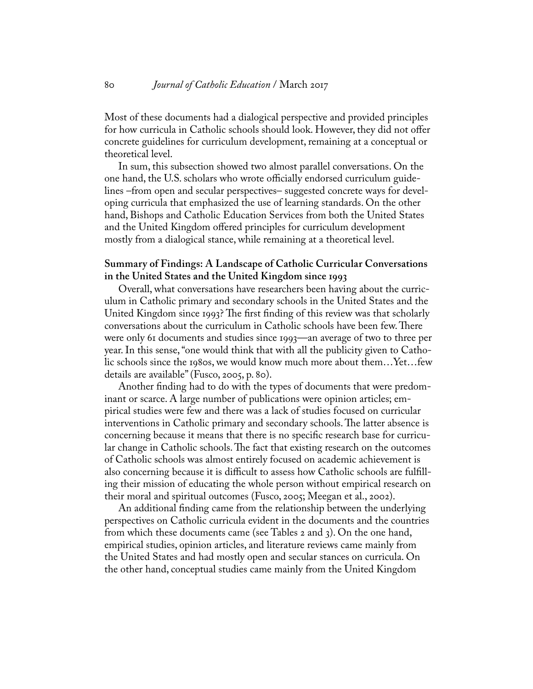Most of these documents had a dialogical perspective and provided principles for how curricula in Catholic schools should look. However, they did not offer concrete guidelines for curriculum development, remaining at a conceptual or theoretical level.

In sum, this subsection showed two almost parallel conversations. On the one hand, the U.S. scholars who wrote officially endorsed curriculum guidelines –from open and secular perspectives– suggested concrete ways for developing curricula that emphasized the use of learning standards. On the other hand, Bishops and Catholic Education Services from both the United States and the United Kingdom offered principles for curriculum development mostly from a dialogical stance, while remaining at a theoretical level.

# **Summary of Findings: A Landscape of Catholic Curricular Conversations in the United States and the United Kingdom since 1993**

Overall, what conversations have researchers been having about the curriculum in Catholic primary and secondary schools in the United States and the United Kingdom since 1993? The first finding of this review was that scholarly conversations about the curriculum in Catholic schools have been few. There were only 61 documents and studies since 1993—an average of two to three per year. In this sense, "one would think that with all the publicity given to Catholic schools since the 1980s, we would know much more about them…Yet…few details are available" (Fusco, 2005, p. 80).

Another finding had to do with the types of documents that were predominant or scarce. A large number of publications were opinion articles; empirical studies were few and there was a lack of studies focused on curricular interventions in Catholic primary and secondary schools. The latter absence is concerning because it means that there is no specific research base for curricular change in Catholic schools. The fact that existing research on the outcomes of Catholic schools was almost entirely focused on academic achievement is also concerning because it is difficult to assess how Catholic schools are fulfilling their mission of educating the whole person without empirical research on their moral and spiritual outcomes (Fusco, 2005; Meegan et al., 2002).

An additional finding came from the relationship between the underlying perspectives on Catholic curricula evident in the documents and the countries from which these documents came (see Tables 2 and 3). On the one hand, empirical studies, opinion articles, and literature reviews came mainly from the United States and had mostly open and secular stances on curricula. On the other hand, conceptual studies came mainly from the United Kingdom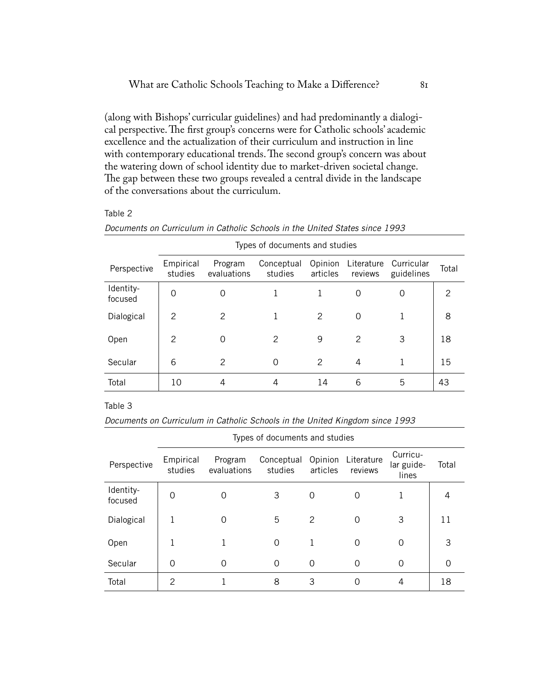(along with Bishops' curricular guidelines) and had predominantly a dialogical perspective. The first group's concerns were for Catholic schools' academic excellence and the actualization of their curriculum and instruction in line with contemporary educational trends. The second group's concern was about the watering down of school identity due to market-driven societal change. The gap between these two groups revealed a central divide in the landscape of the conversations about the curriculum.

#### Table 2

| Documents on Curriculum in Catholic Schools in the United States since 1993 |  |  |
|-----------------------------------------------------------------------------|--|--|
|-----------------------------------------------------------------------------|--|--|

|                      | Types of documents and studies |                        |                       |                     |                       |                          |               |
|----------------------|--------------------------------|------------------------|-----------------------|---------------------|-----------------------|--------------------------|---------------|
| Perspective          | Empirical<br>studies           | Program<br>evaluations | Conceptual<br>studies | Opinion<br>articles | Literature<br>reviews | Curricular<br>guidelines | Total         |
| Identity-<br>focused | 0                              | 0                      |                       |                     | $\Omega$              | 0                        | $\mathcal{P}$ |
| Dialogical           | $\mathcal{P}$                  | 2                      |                       | $\mathcal{P}$       | 0                     |                          | 8             |
| Open                 | $\mathcal{P}$                  | 0                      | $\mathcal{P}$         | 9                   | 2                     | 3                        | 18            |
| Secular              | 6                              | $\mathcal{P}$          | $\Omega$              | $\mathcal{P}$       | 4                     |                          | 15            |
| Total                | 10                             | 4                      | 4                     | 14                  | 6                     | 5                        | 43            |

#### Table 3

*Documents on Curriculum in Catholic Schools in the United Kingdom since 1993*

|                      | Types of documents and studies |                        |                       |                     |                       |                                 |       |
|----------------------|--------------------------------|------------------------|-----------------------|---------------------|-----------------------|---------------------------------|-------|
| Perspective          | Empirical<br>studies           | Program<br>evaluations | Conceptual<br>studies | Opinion<br>articles | Literature<br>reviews | Curricu-<br>lar guide-<br>lines | Total |
| Identity-<br>focused | Ω                              | 0                      | 3                     | 0                   | 0                     |                                 | 4     |
| Dialogical           |                                | 0                      | 5                     | $\mathcal{P}$       | 0                     | 3                               | 11    |
| Open                 |                                |                        | 0                     |                     | 0                     | 0                               | 3     |
| Secular              | ი                              | 0                      | $\Omega$              | $\Omega$            | $\Omega$              | $\Omega$                        | 0     |
| Total                | $\mathcal{P}$                  |                        | 8                     | 3                   | O                     | 4                               | 18    |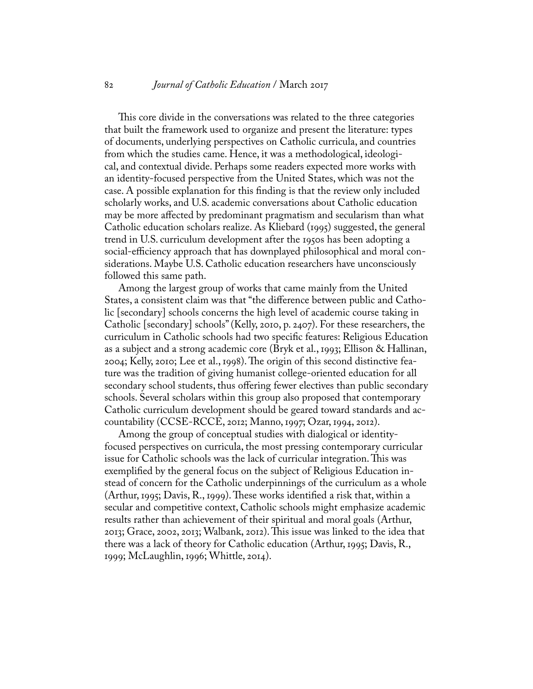#### 82 *Journal of Catholic Education* / March 2017

This core divide in the conversations was related to the three categories that built the framework used to organize and present the literature: types of documents, underlying perspectives on Catholic curricula, and countries from which the studies came. Hence, it was a methodological, ideological, and contextual divide. Perhaps some readers expected more works with an identity-focused perspective from the United States, which was not the case. A possible explanation for this finding is that the review only included scholarly works, and U.S. academic conversations about Catholic education may be more affected by predominant pragmatism and secularism than what Catholic education scholars realize. As Kliebard (1995) suggested, the general trend in U.S. curriculum development after the 1950s has been adopting a social-efficiency approach that has downplayed philosophical and moral considerations. Maybe U.S. Catholic education researchers have unconsciously followed this same path.

Among the largest group of works that came mainly from the United States, a consistent claim was that "the difference between public and Catholic [secondary] schools concerns the high level of academic course taking in Catholic [secondary] schools" (Kelly, 2010, p. 2407). For these researchers, the curriculum in Catholic schools had two specific features: Religious Education as a subject and a strong academic core (Bryk et al., 1993; Ellison & Hallinan, 2004; Kelly, 2010; Lee et al., 1998). The origin of this second distinctive feature was the tradition of giving humanist college-oriented education for all secondary school students, thus offering fewer electives than public secondary schools. Several scholars within this group also proposed that contemporary Catholic curriculum development should be geared toward standards and accountability (CCSE-RCCE, 2012; Manno, 1997; Ozar, 1994, 2012).

Among the group of conceptual studies with dialogical or identityfocused perspectives on curricula, the most pressing contemporary curricular issue for Catholic schools was the lack of curricular integration. This was exemplified by the general focus on the subject of Religious Education instead of concern for the Catholic underpinnings of the curriculum as a whole (Arthur, 1995; Davis, R., 1999). These works identified a risk that, within a secular and competitive context, Catholic schools might emphasize academic results rather than achievement of their spiritual and moral goals (Arthur, 2013; Grace, 2002, 2013; Walbank, 2012). This issue was linked to the idea that there was a lack of theory for Catholic education (Arthur, 1995; Davis, R., 1999; McLaughlin, 1996; Whittle, 2014).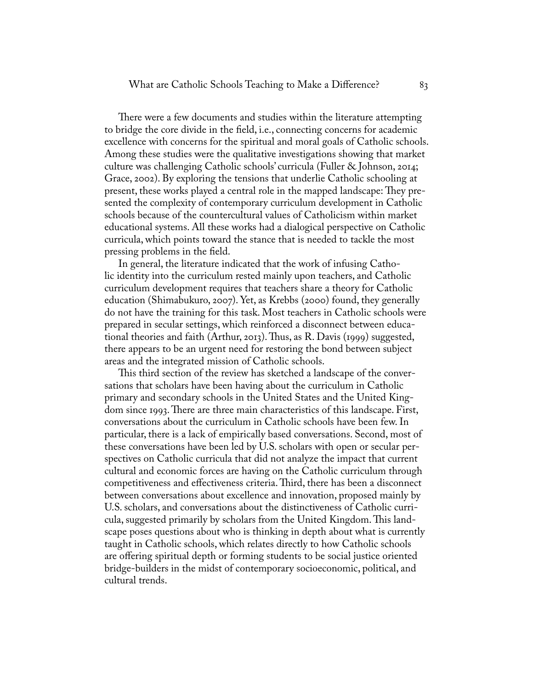There were a few documents and studies within the literature attempting to bridge the core divide in the field, i.e., connecting concerns for academic excellence with concerns for the spiritual and moral goals of Catholic schools. Among these studies were the qualitative investigations showing that market culture was challenging Catholic schools' curricula (Fuller & Johnson, 2014; Grace, 2002). By exploring the tensions that underlie Catholic schooling at present, these works played a central role in the mapped landscape: They presented the complexity of contemporary curriculum development in Catholic schools because of the countercultural values of Catholicism within market educational systems. All these works had a dialogical perspective on Catholic curricula, which points toward the stance that is needed to tackle the most pressing problems in the field.

In general, the literature indicated that the work of infusing Catholic identity into the curriculum rested mainly upon teachers, and Catholic curriculum development requires that teachers share a theory for Catholic education (Shimabukuro, 2007). Yet, as Krebbs (2000) found, they generally do not have the training for this task. Most teachers in Catholic schools were prepared in secular settings, which reinforced a disconnect between educational theories and faith (Arthur, 2013). Thus, as R. Davis (1999) suggested, there appears to be an urgent need for restoring the bond between subject areas and the integrated mission of Catholic schools.

This third section of the review has sketched a landscape of the conversations that scholars have been having about the curriculum in Catholic primary and secondary schools in the United States and the United Kingdom since 1993. There are three main characteristics of this landscape. First, conversations about the curriculum in Catholic schools have been few. In particular, there is a lack of empirically based conversations. Second, most of these conversations have been led by U.S. scholars with open or secular perspectives on Catholic curricula that did not analyze the impact that current cultural and economic forces are having on the Catholic curriculum through competitiveness and effectiveness criteria. Third, there has been a disconnect between conversations about excellence and innovation, proposed mainly by U.S. scholars, and conversations about the distinctiveness of Catholic curricula, suggested primarily by scholars from the United Kingdom. This landscape poses questions about who is thinking in depth about what is currently taught in Catholic schools, which relates directly to how Catholic schools are offering spiritual depth or forming students to be social justice oriented bridge-builders in the midst of contemporary socioeconomic, political, and cultural trends.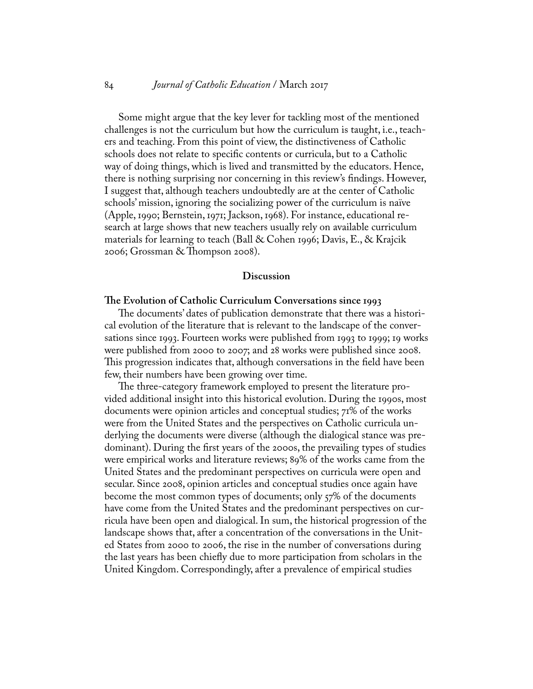Some might argue that the key lever for tackling most of the mentioned challenges is not the curriculum but how the curriculum is taught, i.e., teachers and teaching. From this point of view, the distinctiveness of Catholic schools does not relate to specific contents or curricula, but to a Catholic way of doing things, which is lived and transmitted by the educators. Hence, there is nothing surprising nor concerning in this review's findings. However, I suggest that, although teachers undoubtedly are at the center of Catholic schools' mission, ignoring the socializing power of the curriculum is naïve (Apple, 1990; Bernstein, 1971; Jackson, 1968). For instance, educational research at large shows that new teachers usually rely on available curriculum materials for learning to teach (Ball & Cohen 1996; Davis, E., & Krajcik 2006; Grossman & Thompson 2008).

#### **Discussion**

#### **The Evolution of Catholic Curriculum Conversations since 1993**

The documents' dates of publication demonstrate that there was a historical evolution of the literature that is relevant to the landscape of the conversations since 1993. Fourteen works were published from 1993 to 1999; 19 works were published from 2000 to 2007; and 28 works were published since 2008. This progression indicates that, although conversations in the field have been few, their numbers have been growing over time.

The three-category framework employed to present the literature provided additional insight into this historical evolution. During the 1990s, most documents were opinion articles and conceptual studies; 71% of the works were from the United States and the perspectives on Catholic curricula underlying the documents were diverse (although the dialogical stance was predominant). During the first years of the 2000s, the prevailing types of studies were empirical works and literature reviews; 89% of the works came from the United States and the predominant perspectives on curricula were open and secular. Since 2008, opinion articles and conceptual studies once again have become the most common types of documents; only 57% of the documents have come from the United States and the predominant perspectives on curricula have been open and dialogical. In sum, the historical progression of the landscape shows that, after a concentration of the conversations in the United States from 2000 to 2006, the rise in the number of conversations during the last years has been chiefly due to more participation from scholars in the United Kingdom. Correspondingly, after a prevalence of empirical studies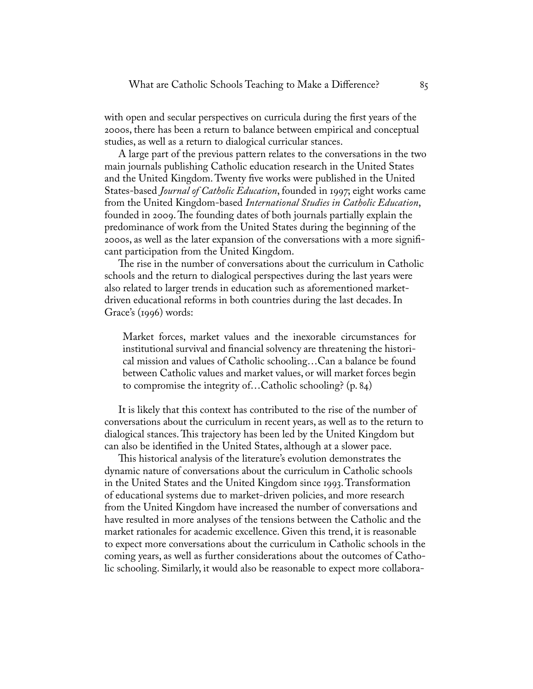with open and secular perspectives on curricula during the first years of the 2000s, there has been a return to balance between empirical and conceptual studies, as well as a return to dialogical curricular stances.

A large part of the previous pattern relates to the conversations in the two main journals publishing Catholic education research in the United States and the United Kingdom. Twenty five works were published in the United States-based *Journal of Catholic Education*, founded in 1997; eight works came from the United Kingdom-based *International Studies in Catholic Education*, founded in 2009. The founding dates of both journals partially explain the predominance of work from the United States during the beginning of the 2000s, as well as the later expansion of the conversations with a more significant participation from the United Kingdom.

The rise in the number of conversations about the curriculum in Catholic schools and the return to dialogical perspectives during the last years were also related to larger trends in education such as aforementioned marketdriven educational reforms in both countries during the last decades. In Grace's (1996) words:

Market forces, market values and the inexorable circumstances for institutional survival and financial solvency are threatening the historical mission and values of Catholic schooling…Can a balance be found between Catholic values and market values, or will market forces begin to compromise the integrity of…Catholic schooling? (p. 84)

It is likely that this context has contributed to the rise of the number of conversations about the curriculum in recent years, as well as to the return to dialogical stances. This trajectory has been led by the United Kingdom but can also be identified in the United States, although at a slower pace.

This historical analysis of the literature's evolution demonstrates the dynamic nature of conversations about the curriculum in Catholic schools in the United States and the United Kingdom since 1993. Transformation of educational systems due to market-driven policies, and more research from the United Kingdom have increased the number of conversations and have resulted in more analyses of the tensions between the Catholic and the market rationales for academic excellence. Given this trend, it is reasonable to expect more conversations about the curriculum in Catholic schools in the coming years, as well as further considerations about the outcomes of Catholic schooling. Similarly, it would also be reasonable to expect more collabora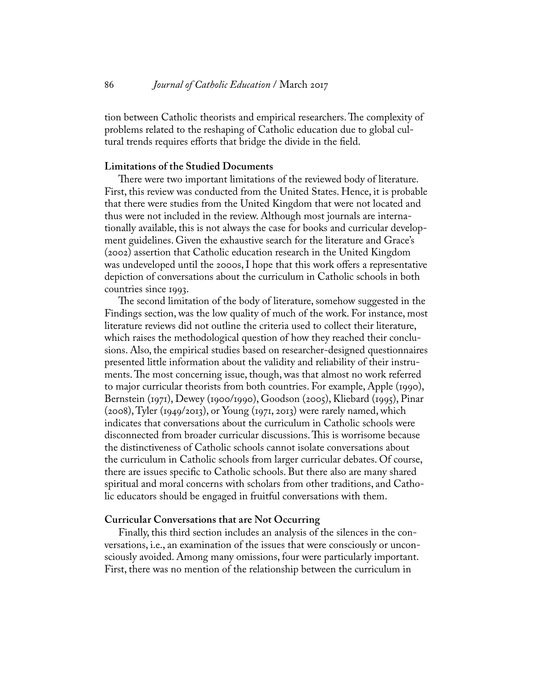tion between Catholic theorists and empirical researchers. The complexity of problems related to the reshaping of Catholic education due to global cultural trends requires efforts that bridge the divide in the field.

# **Limitations of the Studied Documents**

There were two important limitations of the reviewed body of literature. First, this review was conducted from the United States. Hence, it is probable that there were studies from the United Kingdom that were not located and thus were not included in the review. Although most journals are internationally available, this is not always the case for books and curricular development guidelines. Given the exhaustive search for the literature and Grace's (2002) assertion that Catholic education research in the United Kingdom was undeveloped until the 2000s, I hope that this work offers a representative depiction of conversations about the curriculum in Catholic schools in both countries since 1993.

The second limitation of the body of literature, somehow suggested in the Findings section, was the low quality of much of the work. For instance, most literature reviews did not outline the criteria used to collect their literature, which raises the methodological question of how they reached their conclusions. Also, the empirical studies based on researcher-designed questionnaires presented little information about the validity and reliability of their instruments. The most concerning issue, though, was that almost no work referred to major curricular theorists from both countries. For example, Apple (1990), Bernstein (1971), Dewey (1900/1990), Goodson (2005), Kliebard (1995), Pinar (2008), Tyler (1949/2013), or Young (1971, 2013) were rarely named, which indicates that conversations about the curriculum in Catholic schools were disconnected from broader curricular discussions. This is worrisome because the distinctiveness of Catholic schools cannot isolate conversations about the curriculum in Catholic schools from larger curricular debates. Of course, there are issues specific to Catholic schools. But there also are many shared spiritual and moral concerns with scholars from other traditions, and Catholic educators should be engaged in fruitful conversations with them.

#### **Curricular Conversations that are Not Occurring**

Finally, this third section includes an analysis of the silences in the conversations, i.e., an examination of the issues that were consciously or unconsciously avoided. Among many omissions, four were particularly important. First, there was no mention of the relationship between the curriculum in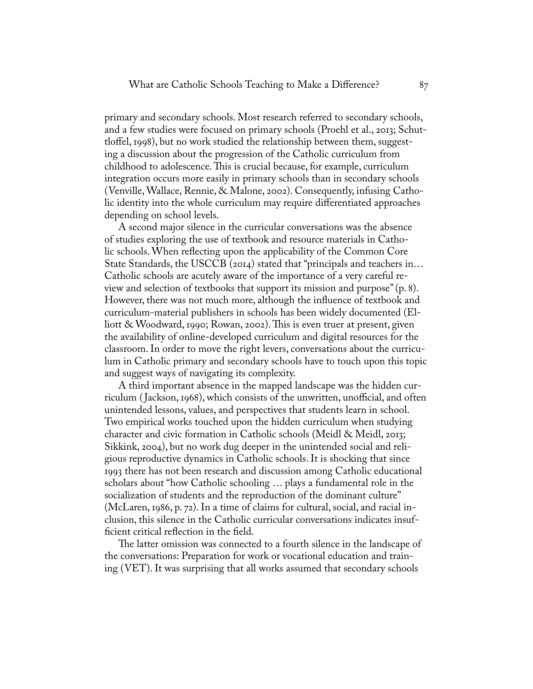primary and secondary schools. Most research referred to secondary schools, and a few studies were focused on primary schools (Proehl et al., 2013; Schuttloffel, 1998), but no work studied the relationship between them, suggesting a discussion about the progression of the Catholic curriculum from childhood to adolescence. This is crucial because, for example, curriculum integration occurs more easily in primary schools than in secondary schools (Venville, Wallace, Rennie, & Malone, 2002). Consequently, infusing Catholic identity into the whole curriculum may require differentiated approaches depending on school levels.

A second major silence in the curricular conversations was the absence of studies exploring the use of textbook and resource materials in Catholic schools. When reflecting upon the applicability of the Common Core State Standards, the USCCB (2014) stated that "principals and teachers in… Catholic schools are acutely aware of the importance of a very careful review and selection of textbooks that support its mission and purpose" (p. 8). However, there was not much more, although the influence of textbook and curriculum-material publishers in schools has been widely documented (Elliott & Woodward, 1990; Rowan, 2002). This is even truer at present, given the availability of online-developed curriculum and digital resources for the classroom. In order to move the right levers, conversations about the curriculum in Catholic primary and secondary schools have to touch upon this topic and suggest ways of navigating its complexity.

A third important absence in the mapped landscape was the hidden curriculum ( Jackson, 1968), which consists of the unwritten, unofficial, and often unintended lessons, values, and perspectives that students learn in school. Two empirical works touched upon the hidden curriculum when studying character and civic formation in Catholic schools (Meidl & Meidl, 2013; Sikkink, 2004), but no work dug deeper in the unintended social and religious reproductive dynamics in Catholic schools. It is shocking that since 1993 there has not been research and discussion among Catholic educational scholars about "how Catholic schooling … plays a fundamental role in the socialization of students and the reproduction of the dominant culture" (McLaren, 1986, p. 72). In a time of claims for cultural, social, and racial inclusion, this silence in the Catholic curricular conversations indicates insufficient critical reflection in the field.

The latter omission was connected to a fourth silence in the landscape of the conversations: Preparation for work or vocational education and training (VET). It was surprising that all works assumed that secondary schools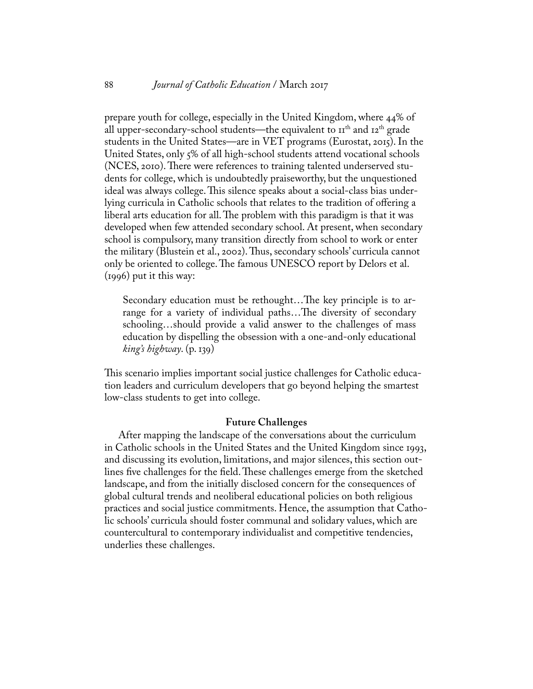prepare youth for college, especially in the United Kingdom, where 44% of all upper-secondary-school students—the equivalent to  $\mathbf{H}^{\text{th}}$  and  $\mathbf{I}^{\text{2th}}$  grade students in the United States—are in VET programs (Eurostat, 2015). In the United States, only 5% of all high-school students attend vocational schools (NCES, 2010). There were references to training talented underserved students for college, which is undoubtedly praiseworthy, but the unquestioned ideal was always college. This silence speaks about a social-class bias underlying curricula in Catholic schools that relates to the tradition of offering a liberal arts education for all. The problem with this paradigm is that it was developed when few attended secondary school. At present, when secondary school is compulsory, many transition directly from school to work or enter the military (Blustein et al., 2002). Thus, secondary schools' curricula cannot only be oriented to college. The famous UNESCO report by Delors et al. (1996) put it this way:

Secondary education must be rethought…The key principle is to arrange for a variety of individual paths…The diversity of secondary schooling…should provide a valid answer to the challenges of mass education by dispelling the obsession with a one-and-only educational *king's highway*. (p. 139)

This scenario implies important social justice challenges for Catholic education leaders and curriculum developers that go beyond helping the smartest low-class students to get into college.

# **Future Challenges**

After mapping the landscape of the conversations about the curriculum in Catholic schools in the United States and the United Kingdom since 1993, and discussing its evolution, limitations, and major silences, this section outlines five challenges for the field. These challenges emerge from the sketched landscape, and from the initially disclosed concern for the consequences of global cultural trends and neoliberal educational policies on both religious practices and social justice commitments. Hence, the assumption that Catholic schools' curricula should foster communal and solidary values, which are countercultural to contemporary individualist and competitive tendencies, underlies these challenges.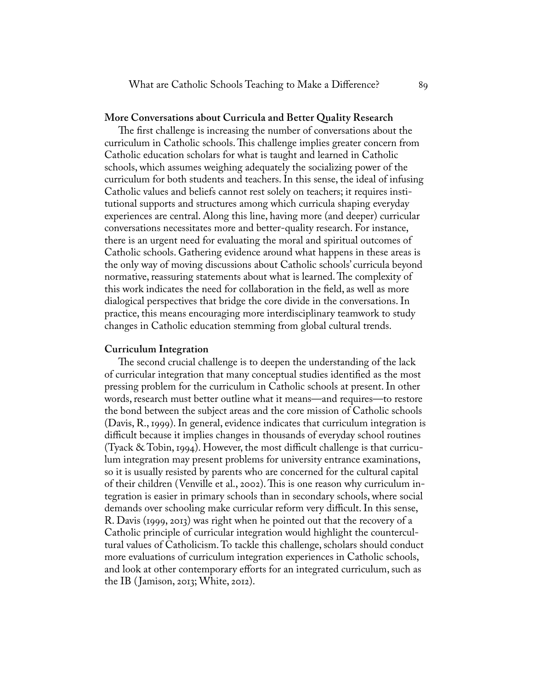#### **More Conversations about Curricula and Better Quality Research**

The first challenge is increasing the number of conversations about the curriculum in Catholic schools. This challenge implies greater concern from Catholic education scholars for what is taught and learned in Catholic schools, which assumes weighing adequately the socializing power of the curriculum for both students and teachers. In this sense, the ideal of infusing Catholic values and beliefs cannot rest solely on teachers; it requires institutional supports and structures among which curricula shaping everyday experiences are central. Along this line, having more (and deeper) curricular conversations necessitates more and better-quality research. For instance, there is an urgent need for evaluating the moral and spiritual outcomes of Catholic schools. Gathering evidence around what happens in these areas is the only way of moving discussions about Catholic schools' curricula beyond normative, reassuring statements about what is learned. The complexity of this work indicates the need for collaboration in the field, as well as more dialogical perspectives that bridge the core divide in the conversations. In practice, this means encouraging more interdisciplinary teamwork to study changes in Catholic education stemming from global cultural trends.

#### **Curriculum Integration**

The second crucial challenge is to deepen the understanding of the lack of curricular integration that many conceptual studies identified as the most pressing problem for the curriculum in Catholic schools at present. In other words, research must better outline what it means—and requires—to restore the bond between the subject areas and the core mission of Catholic schools (Davis, R., 1999). In general, evidence indicates that curriculum integration is difficult because it implies changes in thousands of everyday school routines (Tyack & Tobin, 1994). However, the most difficult challenge is that curriculum integration may present problems for university entrance examinations, so it is usually resisted by parents who are concerned for the cultural capital of their children (Venville et al., 2002). This is one reason why curriculum integration is easier in primary schools than in secondary schools, where social demands over schooling make curricular reform very difficult. In this sense, R. Davis (1999, 2013) was right when he pointed out that the recovery of a Catholic principle of curricular integration would highlight the countercultural values of Catholicism. To tackle this challenge, scholars should conduct more evaluations of curriculum integration experiences in Catholic schools, and look at other contemporary efforts for an integrated curriculum, such as the IB (Jamison, 2013; White, 2012).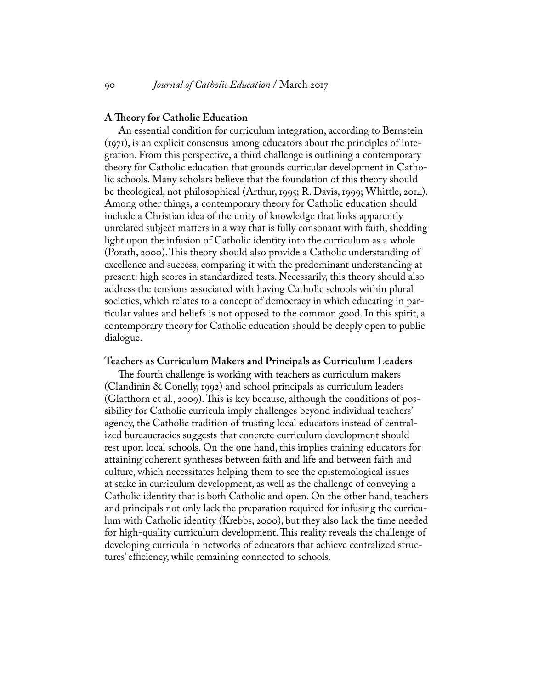#### **A Theory for Catholic Education**

An essential condition for curriculum integration, according to Bernstein (1971), is an explicit consensus among educators about the principles of integration. From this perspective, a third challenge is outlining a contemporary theory for Catholic education that grounds curricular development in Catholic schools. Many scholars believe that the foundation of this theory should be theological, not philosophical (Arthur, 1995; R. Davis, 1999; Whittle, 2014). Among other things, a contemporary theory for Catholic education should include a Christian idea of the unity of knowledge that links apparently unrelated subject matters in a way that is fully consonant with faith, shedding light upon the infusion of Catholic identity into the curriculum as a whole (Porath, 2000). This theory should also provide a Catholic understanding of excellence and success, comparing it with the predominant understanding at present: high scores in standardized tests. Necessarily, this theory should also address the tensions associated with having Catholic schools within plural societies, which relates to a concept of democracy in which educating in particular values and beliefs is not opposed to the common good. In this spirit, a contemporary theory for Catholic education should be deeply open to public dialogue.

#### **Teachers as Curriculum Makers and Principals as Curriculum Leaders**

The fourth challenge is working with teachers as curriculum makers (Clandinin & Conelly, 1992) and school principals as curriculum leaders (Glatthorn et al., 2009). This is key because, although the conditions of possibility for Catholic curricula imply challenges beyond individual teachers' agency, the Catholic tradition of trusting local educators instead of centralized bureaucracies suggests that concrete curriculum development should rest upon local schools. On the one hand, this implies training educators for attaining coherent syntheses between faith and life and between faith and culture, which necessitates helping them to see the epistemological issues at stake in curriculum development, as well as the challenge of conveying a Catholic identity that is both Catholic and open. On the other hand, teachers and principals not only lack the preparation required for infusing the curriculum with Catholic identity (Krebbs, 2000), but they also lack the time needed for high-quality curriculum development. This reality reveals the challenge of developing curricula in networks of educators that achieve centralized structures' efficiency, while remaining connected to schools.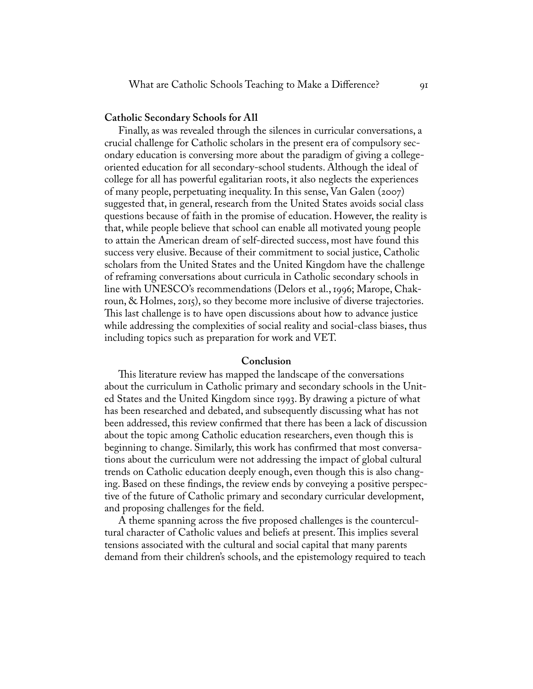#### **Catholic Secondary Schools for All**

Finally, as was revealed through the silences in curricular conversations, a crucial challenge for Catholic scholars in the present era of compulsory secondary education is conversing more about the paradigm of giving a collegeoriented education for all secondary-school students. Although the ideal of college for all has powerful egalitarian roots, it also neglects the experiences of many people, perpetuating inequality. In this sense, Van Galen (2007) suggested that, in general, research from the United States avoids social class questions because of faith in the promise of education. However, the reality is that, while people believe that school can enable all motivated young people to attain the American dream of self-directed success, most have found this success very elusive. Because of their commitment to social justice, Catholic scholars from the United States and the United Kingdom have the challenge of reframing conversations about curricula in Catholic secondary schools in line with UNESCO's recommendations (Delors et al., 1996; Marope, Chakroun, & Holmes, 2015), so they become more inclusive of diverse trajectories. This last challenge is to have open discussions about how to advance justice while addressing the complexities of social reality and social-class biases, thus including topics such as preparation for work and VET.

#### **Conclusion**

This literature review has mapped the landscape of the conversations about the curriculum in Catholic primary and secondary schools in the United States and the United Kingdom since 1993. By drawing a picture of what has been researched and debated, and subsequently discussing what has not been addressed, this review confirmed that there has been a lack of discussion about the topic among Catholic education researchers, even though this is beginning to change. Similarly, this work has confirmed that most conversations about the curriculum were not addressing the impact of global cultural trends on Catholic education deeply enough, even though this is also changing. Based on these findings, the review ends by conveying a positive perspective of the future of Catholic primary and secondary curricular development, and proposing challenges for the field.

A theme spanning across the five proposed challenges is the countercultural character of Catholic values and beliefs at present. This implies several tensions associated with the cultural and social capital that many parents demand from their children's schools, and the epistemology required to teach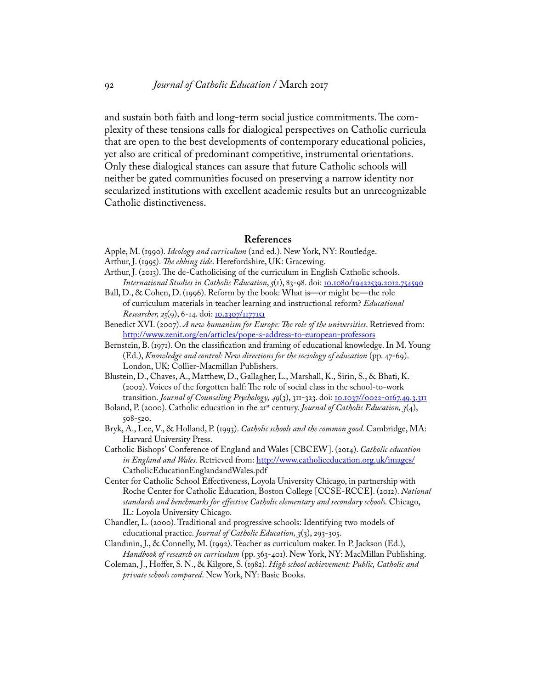and sustain both faith and long-term social justice commitments. The complexity of these tensions calls for dialogical perspectives on Catholic curricula that are open to the best developments of contemporary educational policies, yet also are critical of predominant competitive, instrumental orientations. Only these dialogical stances can assure that future Catholic schools will neither be gated communities focused on preserving a narrow identity nor secularized institutions with excellent academic results but an unrecognizable Catholic distinctiveness.

# **References**

- Apple, M. (1990). *Ideology and curriculum* (2nd ed.). New York, NY: Routledge.
- Arthur, J. (1995). *The ebbing tide*. Herefordshire, UK: Gracewing.
- Arthur, J. (2013). The de-Catholicising of the curriculum in English Catholic schools. *International Studies in Catholic Education*, *5*(1), 83-98. doi: [10.1080/19422539.2012.754590](https://doi.org/10.1080/19422539.2012.754590)
- Ball, D., & Cohen, D. (1996). Reform by the book: What is—or might be—the role of curriculum materials in teacher learning and instructional reform? *Educational Researcher, 25*(9), 6-14. doi: [10.2307/1177151](https://doi.org/10.2307/1177151)
- Benedict XVI. (2007). *A new humanism for Europe: The role of the universities*. Retrieved from: <http://www.zenit.org/en/articles/pope-s-address-to-european-professors>
- Bernstein, B. (1971). On the classification and framing of educational knowledge. In M. Young (Ed.), *Knowledge and control: New directions for the sociology of education* (pp. 47-69). London, UK: Collier-Macmillan Publishers.
- Blustein, D., Chaves, A., Matthew, D., Gallagher, L., Marshall, K., Sirin, S., & Bhati, K. (2002). Voices of the forgotten half: The role of social class in the school-to-work transition. *Journal of Counseling Psychology, 49*(3), 311-323. doi: [10.1037//0022-0167.49.3.311](https://doi.org/10.1037//0022-0167.49.3.311)
- Boland, P. (2000). Catholic education in the 21st century. *Journal of Catholic Education, 3*(4), 508-520.
- Bryk, A., Lee, V., & Holland, P. (1993). *Catholic schools and the common good.* Cambridge, MA: Harvard University Press.
- Catholic Bishops' Conference of England and Wales [CBCEW]. (2014). *Catholic education in England and Wales.* Retrieved from: <http://www.catholiceducation.org.uk/images/> CatholicEducationEnglandandWales.pdf
- Center for Catholic School Effectiveness, Loyola University Chicago, in partnership with Roche Center for Catholic Education, Boston College [CCSE-RCCE]. (2012). *National standards and benchmarks for effective Catholic elementary and secondary schools.* Chicago, IL: Loyola University Chicago.
- Chandler, L. (2000). Traditional and progressive schools: Identifying two models of educational practice. *Journal of Catholic Education, 3*(3), 293-305.
- Clandinin, J., & Connelly, M. (1992). Teacher as curriculum maker. In P. Jackson (Ed.), *Handbook of research on curriculum* (pp. 363-401). New York, NY: MacMillan Publishing.
- Coleman, J., Hoffer, S. N., & Kilgore, S. (1982). *High school achievement: Public, Catholic and private schools compared*. New York, NY: Basic Books.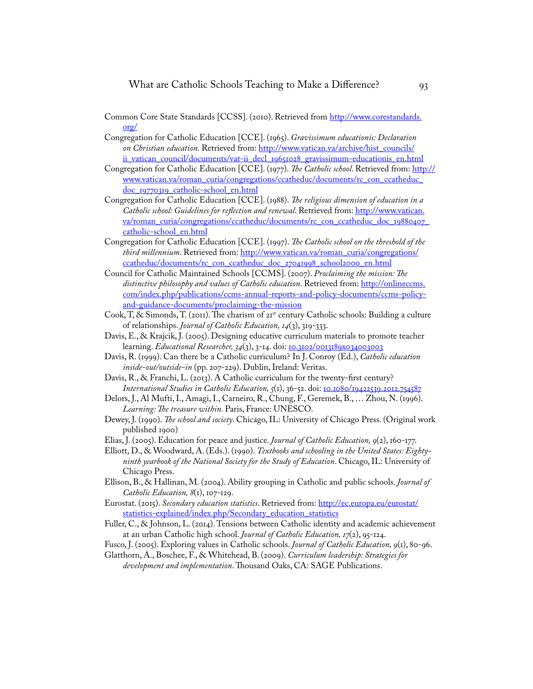- Common Core State Standards [CCSS]. (2010). Retrieved from [http://www.corestandards.](http://www.corestandards.org/ ) [org/](http://www.corestandards.org/ )
- Congregation for Catholic Education [CCE]. (1965). *Gravissimum educationis: Declaration on Christian education.* Retrieved from: [http://www.vatican.va/archive/hist\\_councils/](http://www.vatican.va/archive/hist_councils/ii_vatican_council/documents/vat-ii_decl_19651028_gravis) [ii\\_vatican\\_council/documents/vat-ii\\_decl\\_19651028\\_gravissimum-educationis\\_en.html](http://www.vatican.va/archive/hist_councils/ii_vatican_council/documents/vat-ii_decl_19651028_gravis)
- Congregation for Catholic Education [CCE]. (1977). *The Catholic school*. Retrieved from: [http://](http://www.vatican.va/roman_curia/congregations/ccatheduc/documents/rc_con_ccatheduc_doc_19770319_catholic-school_en.html ) [www.vatican.va/roman\\_curia/congregations/ccatheduc/documents/rc\\_con\\_ccatheduc\\_](http://www.vatican.va/roman_curia/congregations/ccatheduc/documents/rc_con_ccatheduc_doc_19770319_catholic-school_en.html ) [doc\\_19770319\\_catholic-school\\_en.html](http://www.vatican.va/roman_curia/congregations/ccatheduc/documents/rc_con_ccatheduc_doc_19770319_catholic-school_en.html )
- Congregation for Catholic Education [CCE]. (1988). *The religious dimension of education in a Catholic school: Guidelines for reflection and renewal*. Retrieved from: [http://www.vatican.](http://www.vatican.va/roman_curia/congregations/ccatheduc/documents/rc_con_ccatheduc_doc_19880407_catholic-school_en.html ) [va/roman\\_curia/congregations/ccatheduc/documents/rc\\_con\\_ccatheduc\\_doc\\_19880407\\_](http://www.vatican.va/roman_curia/congregations/ccatheduc/documents/rc_con_ccatheduc_doc_19880407_catholic-school_en.html ) [catholic-school\\_en.html](http://www.vatican.va/roman_curia/congregations/ccatheduc/documents/rc_con_ccatheduc_doc_19880407_catholic-school_en.html )
- Congregation for Catholic Education [CCE]. (1997). *The Catholic school on the threshold of the*  third millennium. Retrieved from: [http://www.vatican.va/roman\\_curia/congregations/](http://www.vatican.va/roman_curia/congregations/ccatheduc/documents/rc_con_ccatheduc_doc_27041998_school2000_en.html ) [ccatheduc/documents/rc\\_con\\_ccatheduc\\_doc\\_27041998\\_school2000\\_en.html](http://www.vatican.va/roman_curia/congregations/ccatheduc/documents/rc_con_ccatheduc_doc_27041998_school2000_en.html )
- Council for Catholic Maintained Schools [CCMS]. (2007). *Proclaiming the mission: The distinctive philosophy and values of Catholic education*. Retrieved from: [http://onlineccms.](http://onlineccms.com/index.php/publications/ccms-annual-reports-and-policy-documents/ccms-policy-and-guidance-documents/proclaiming-the-mission ) [com/index.php/publications/ccms-annual-reports-and-policy-documents/ccms-policy](http://onlineccms.com/index.php/publications/ccms-annual-reports-and-policy-documents/ccms-policy-and-guidance-documents/proclaiming-the-mission )[and-guidance-documents/proclaiming-the-mission](http://onlineccms.com/index.php/publications/ccms-annual-reports-and-policy-documents/ccms-policy-and-guidance-documents/proclaiming-the-mission )
- Cook, T, & Simonds, T. (2011). The charism of 21st century Catholic schools: Building a culture of relationships. *Journal of Catholic Education, 14*(3), 319-333.
- Davis, E., & Krajcik, J. (2005). Designing educative curriculum materials to promote teacher learning. *Educational Researcher, 34*(3), 3-14. doi: [10.3102/0013189x034003003](https://doi.org/10.3102/0013189x034003003)
- Davis, R. (1999). Can there be a Catholic curriculum? In J. Conroy (Ed.), *Catholic education inside-out/outside-in* (pp. 207-229). Dublin, Ireland: Veritas.
- Davis, R., & Franchi, L. (2013). A Catholic curriculum for the twenty-first century? *International Studies in Catholic Education*, 5(1), 36-52. doi: [10.1080/19422539.2012.754587](https://doi.org/10.1080/19422539.2012.754587 )
- Delors, J., Al Mufti, I., Amagi, I., Carneiro, R., Chung, F., Geremek, B., … Zhou, N. (1996). *Learning: The treasure within*. Paris, France: UNESCO.
- Dewey, J. (1990). *The school and society*. Chicago, IL: University of Chicago Press. (Original work published 1900)
- Elias, J. (2005). Education for peace and justice. *Journal of Catholic Education, 9*(2), 160-177.
- Elliott, D., & Woodward, A. (Eds.). (1990). *Textbooks and schooling in the United States: Eightyninth yearbook of the National Society for the Study of Education*. Chicago, IL: University of Chicago Press.
- Ellison, B., & Hallinan, M. (2004). Ability grouping in Catholic and public schools. *Journal of Catholic Education, 8*(1), 107-129.
- Eurostat. (2015). *Secondary education statistics*. Retrieved from: [http://ec.europa.eu/eurostat/](http://ec.europa.eu/eurostat/statistics-explained/index.php/Secondary_education_statistics ) [statistics-explained/index.php/Secondary\\_education\\_statistics](http://ec.europa.eu/eurostat/statistics-explained/index.php/Secondary_education_statistics )
- Fuller, C., & Johnson, L. (2014). Tensions between Catholic identity and academic achievement at an urban Catholic high school. *Journal of Catholic Education, 17*(2), 95-124.
- Fusco, J. (2005). Exploring values in Catholic schools. *Journal of Catholic Education, 9*(1), 80-96.

Glatthorn, A., Boschee, F., & Whitehead, B. (2009). *Curriculum leadership: Strategies for development and implementation*. Thousand Oaks, CA: SAGE Publications.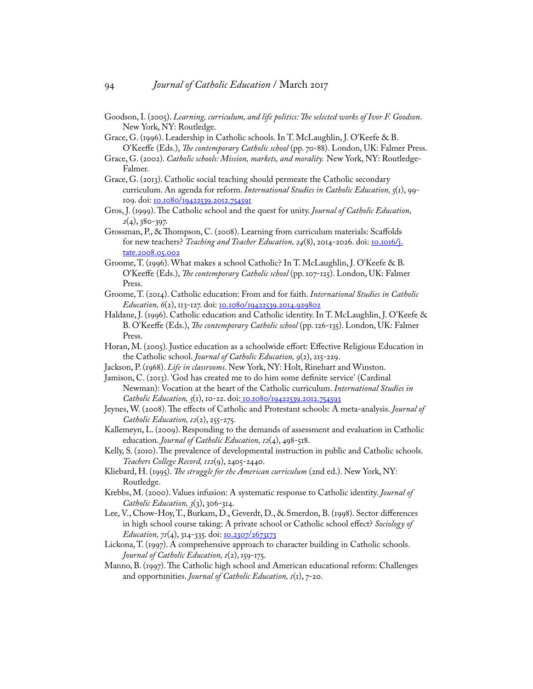- Goodson, I. (2005). *Learning, curriculum, and life politics: The selected works of Ivor F. Goodson*. New York, NY: Routledge.
- Grace, G. (1996). Leadership in Catholic schools. In T. McLaughlin, J. O'Keefe & B. O'Keeffe (Eds.), *The contemporary Catholic school* (pp. 70-88). London, UK: Falmer Press.
- Grace, G. (2002). *Catholic schools: Mission, markets, and morality.* New York, NY: Routledge-Falmer.
- Grace, G. (2013). Catholic social teaching should permeate the Catholic secondary curriculum. An agenda for reform. *International Studies in Catholic Education, 5*(1), 99- 109. doi: [10.1080/19422539.2012.754591](https://doi.org/10.1080/19422539.2012.754591)
- Gros, J. (1999). The Catholic school and the quest for unity. *Journal of Catholic Education, 2*(4), 380-397.
- Grossman, P., & Thompson, C. (2008). Learning from curriculum materials: Scaffolds for new teachers? *Teaching and Teacher Education*, 24(8), 2014-2026. doi: [10.1016/j.](https://doi.org/10.1016/j.tate.2008.05.002 ) [tate.2008.05.002](https://doi.org/10.1016/j.tate.2008.05.002 )
- Groome, T. (1996). What makes a school Catholic? In T. McLaughlin, J. O'Keefe & B. O'Keeffe (Eds.), *The contemporary Catholic school* (pp. 107-125). London, UK: Falmer Press.
- Groome, T. (2014). Catholic education: From and for faith. *International Studies in Catholic Education, 6*(2), 113-127. doi: <u>[10.1080/19422539.2014.929802](https://doi.org/10.1080/19422539.2014.929802)</u>
- Haldane, J. (1996). Catholic education and Catholic identity. In T. McLaughlin, J. O'Keefe & B. O'Keeffe (Eds.), *The contemporary Catholic school* (pp. 126-135). London, UK: Falmer Press.
- Horan, M. (2005). Justice education as a schoolwide effort: Effective Religious Education in the Catholic school. *Journal of Catholic Education, 9*(2), 215-229.
- Jackson, P. (1968). *Life in classrooms*. New York, NY: Holt, Rinehart and Winston.
- Jamison, C. (2013). 'God has created me to do him some definite service' (Cardinal Newman): Vocation at the heart of the Catholic curriculum. *International Studies in Catholic Education,* 5(1), 10-22. doi[: 10.1080/19422539.2012.754593](https://doi.org/10.1080/19422539.2012.754593)
- Jeynes, W. (2008). The effects of Catholic and Protestant schools: A meta-analysis. *Journal of Catholic Education, 12*(2), 255-275.
- Kallemeyn, L. (2009). Responding to the demands of assessment and evaluation in Catholic education. *Journal of Catholic Education, 12*(4), 498-518.
- Kelly, S. (2010). The prevalence of developmental instruction in public and Catholic schools. *Teachers College Record, 112*(9), 2405-2440.
- Kliebard, H. (1995). *The struggle for the American curriculum* (2nd ed.). New York, NY: Routledge.
- Krebbs, M. (2000). Values infusion: A systematic response to Catholic identity. *Journal of Catholic Education, 3*(3), 306-314.
- Lee, V., Chow-Hoy, T., Burkam, D., Geverdt, D., & Smerdon, B. (1998). Sector differences in high school course taking: A private school or Catholic school effect? *Sociology of Education, 71*(4), 314-335. doi: <u>10.2307/2673173</u>
- Lickona, T. (1997). A comprehensive approach to character building in Catholic schools. *Journal of Catholic Education, 1*(2), 159-175.
- Manno, B. (1997). The Catholic high school and American educational reform: Challenges and opportunities. *Journal of Catholic Education, 1*(1), 7-20.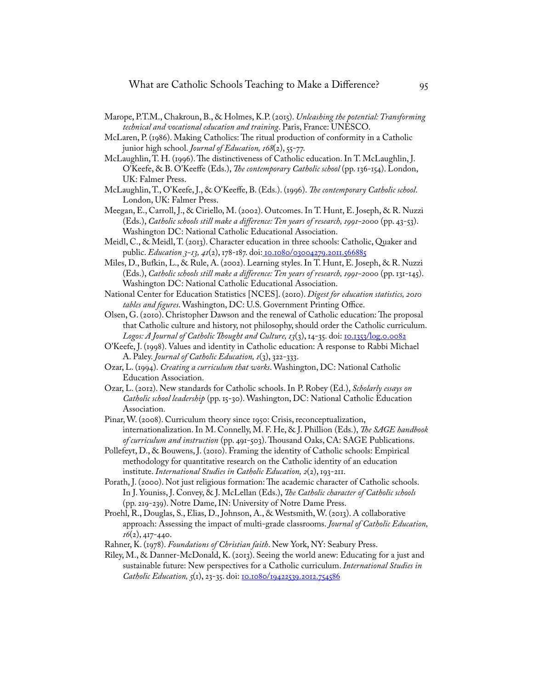- Marope, P.T.M., Chakroun, B., & Holmes, K.P. (2015). *Unleashing the potential: Transforming technical and vocational education and training*. Paris, France: UNESCO.
- McLaren, P. (1986). Making Catholics: The ritual production of conformity in a Catholic junior high school. *Journal of Education, 168*(2), 55-77.
- McLaughlin, T. H. (1996). The distinctiveness of Catholic education. In T. McLaughlin, J. O'Keefe, & B. O'Keeffe (Eds.), *The contemporary Catholic school* (pp. 136-154). London, UK: Falmer Press.
- McLaughlin, T., O'Keefe, J., & O'Keeffe, B. (Eds.). (1996). *The contemporary Catholic school*. London, UK: Falmer Press.
- Meegan, E., Carroll, J., & Ciriello, M. (2002). Outcomes. In T. Hunt, E. Joseph, & R. Nuzzi (Eds.), *Catholic schools still make a difference: Ten years of research, 1991-2000* (pp. 43-53). Washington DC: National Catholic Educational Association.
- Meidl, C., & Meidl, T. (2013). Character education in three schools: Catholic, Quaker and public. *Education 3-13, 41*(2), 178-187. doi[: 10.1080/03004279.2011.566885](https://doi.org/10.1080/03004279.2011.566885)
- Miles, D., Bufkin, L., & Rule, A. (2002). Learning styles. In T. Hunt, E. Joseph, & R. Nuzzi (Eds.), *Catholic schools still make a difference: Ten years of research, 1991-2000* (pp. 131-145). Washington DC: National Catholic Educational Association.
- National Center for Education Statistics [NCES]. (2010). *Digest for education statistics, 2010 tables and figures*. Washington, DC: U.S. Government Printing Office.
- Olsen, G. (2010). Christopher Dawson and the renewal of Catholic education: The proposal that Catholic culture and history, not philosophy, should order the Catholic curriculum. Logos: A Journal of Catholic Thought and Culture, 13(3), 14-35. doi: [10.1353/log.0.0082](https://doi.org/10.1353/log.0.0082 )
- O'Keefe, J. (1998). Values and identity in Catholic education: A response to Rabbi Michael A. Paley. *Journal of Catholic Education, 1*(3), 322-333.
- Ozar, L. (1994). *Creating a curriculum that works*. Washington, DC: National Catholic Education Association.
- Ozar, L. (2012). New standards for Catholic schools. In P. Robey (Ed.), *Scholarly essays on Catholic school leadership* (pp. 15-30). Washington, DC: National Catholic Education Association.
- Pinar, W. (2008). Curriculum theory since 1950: Crisis, reconceptualization, internationalization. In M. Connelly, M. F. He, & J. Phillion (Eds.), *The SAGE handbook of curriculum and instruction* (pp. 491-503). Thousand Oaks, CA: SAGE Publications.
- Pollefeyt, D., & Bouwens, J. (2010). Framing the identity of Catholic schools: Empirical methodology for quantitative research on the Catholic identity of an education institute. *International Studies in Catholic Education, 2*(2), 193-211.
- Porath, J. (2000). Not just religious formation: The academic character of Catholic schools. In J. Youniss, J. Convey, & J. McLellan (Eds.), *The Catholic character of Catholic schools* (pp. 219-239). Notre Dame, IN: University of Notre Dame Press.
- Proehl, R., Douglas, S., Elias, D., Johnson, A., & Westsmith, W. (2013). A collaborative approach: Assessing the impact of multi-grade classrooms. *Journal of Catholic Education, 16*(2), 417-440.
- Rahner, K. (1978). *Foundations of Christian faith*. New York, NY: Seabury Press.
- Riley, M., & Danner-McDonald, K. (2013). Seeing the world anew: Educating for a just and sustainable future: New perspectives for a Catholic curriculum. *International Studies in Catholic Education,*  $\zeta(1)$ , 23-35. doi: <u>[10.1080/19422539.2012.754586](https://doi.org/10.1080/19422539.2012.754586 )</u>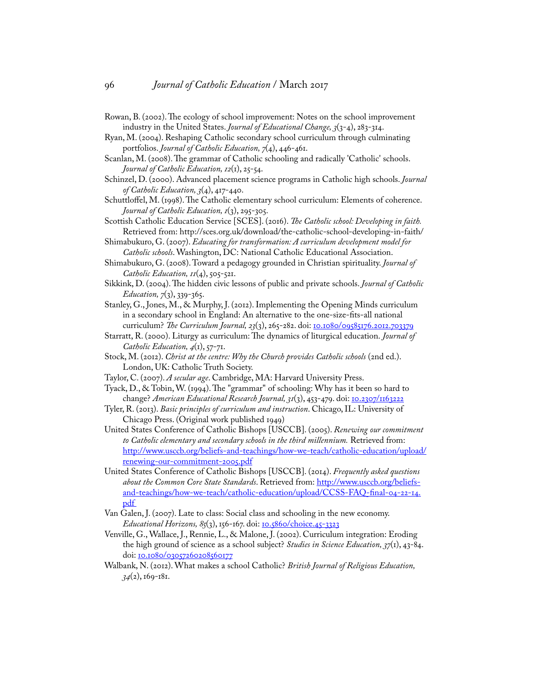Rowan, B. (2002). The ecology of school improvement: Notes on the school improvement industry in the United States. *Journal of Educational Change, 3*(3-4), 283-314.

Ryan, M. (2004). Reshaping Catholic secondary school curriculum through culminating portfolios. *Journal of Catholic Education, 7*(4), 446-461.

- Scanlan, M. (2008). The grammar of Catholic schooling and radically 'Catholic' schools. *Journal of Catholic Education, 12*(1), 25-54.
- Schinzel, D. (2000). Advanced placement science programs in Catholic high schools. *Journal of Catholic Education, 3*(4), 417-440.
- Schuttloffel, M. (1998). The Catholic elementary school curriculum: Elements of coherence. *Journal of Catholic Education, 1*(3), 295-305.
- Scottish Catholic Education Service [SCES]. (2016). *The Catholic school: Developing in faith.*  Retrieved from: http://sces.org.uk/download/the-catholic-school-developing-in-faith/
- Shimabukuro, G. (2007). *Educating for transformation: A curriculum development model for Catholic schools*. Washington, DC: National Catholic Educational Association.
- Shimabukuro, G. (2008). Toward a pedagogy grounded in Christian spirituality. *Journal of Catholic Education,*  $II(4)$ *, 505-521.*
- Sikkink, D. (2004). The hidden civic lessons of public and private schools. *Journal of Catholic Education*,  $7(3)$ , 339-365.
- Stanley, G., Jones, M., & Murphy, J. (2012). Implementing the Opening Minds curriculum in a secondary school in England: An alternative to the one-size-fits-all national curriculum? *The Curriculum Journal, 23*(3), 265-282. doi: [10.1080/09585176.2012.703379](https://doi.org/10.1080/09585176.2012.703379)
- Starratt, R. (2000). Liturgy as curriculum: The dynamics of liturgical education. *Journal of Catholic Education, 4*(1), 57-71.
- Stock, M. (2012). *Christ at the centre: Why the Church provides Catholic schools* (2nd ed.). London, UK: Catholic Truth Society.
- Taylor, C. (2007). *A secular age*. Cambridge, MA: Harvard University Press.
- Tyack, D., & Tobin, W. (1994). The "grammar" of schooling: Why has it been so hard to change? *American Educational Research Journal, 31*(3), 453-479. doi: [10.2307/1163222](https://doi.org/10.2307/1163222 )
- Tyler, R. (2013). *Basic principles of curriculum and instruction*. Chicago, IL: University of Chicago Press. (Original work published 1949)
- United States Conference of Catholic Bishops [USCCB]. (2005). *Renewing our commitment to Catholic elementary and secondary schools in the third millennium.* Retrieved from: [http://www.usccb.org/beliefs-and-teachings/how-we-teach/catholic-education/upload/](http://www.usccb.org/beliefs-and-teachings/how-we-teach/catholic-education/upload/renewing-our-commitment-2005.pdf) [renewing-our-commitment-2005.pdf](http://www.usccb.org/beliefs-and-teachings/how-we-teach/catholic-education/upload/renewing-our-commitment-2005.pdf)
- United States Conference of Catholic Bishops [USCCB]. (2014). *Frequently asked questions about the Common Core State Standards*. Retrieved from: [http://www.usccb.org/beliefs](http://www.usccb.org/beliefs-and-teachings/how-we-teach/catholic-education/upload/CCSS-FAQ-final-04-22-14.pdf  )[and-teachings/how-we-teach/catholic-education/upload/CCSS-FAQ-final-04-22-14.](http://www.usccb.org/beliefs-and-teachings/how-we-teach/catholic-education/upload/CCSS-FAQ-final-04-22-14.pdf  ) [pdf](http://www.usccb.org/beliefs-and-teachings/how-we-teach/catholic-education/upload/CCSS-FAQ-final-04-22-14.pdf  )
- Van Galen, J. (2007). Late to class: Social class and schooling in the new economy. *Educational Horizons, 85*(3), 156-167. doi: [10.5860/choice.45-3323](https://doi.org/10.5860/choice.45-3323)
- Venville, G., Wallace, J., Rennie, L., & Malone, J. (2002). Curriculum integration: Eroding the high ground of science as a school subject? *Studies in Science Education, 37*(1), 43-84. doi: [10.1080/03057260208560177](https://doi.org/10.1080/03057260208560177)
- Walbank, N. (2012). What makes a school Catholic? *British Journal of Religious Education, 34*(2), 169-181.